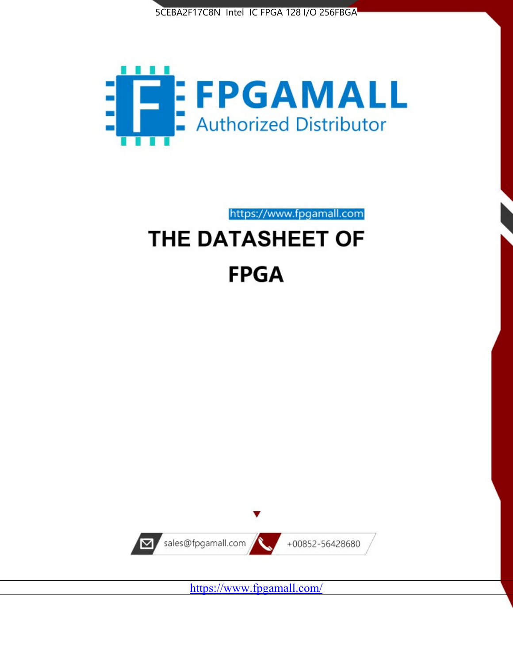



https://www.fpgamall.com

# THE DATASHEET OF **FPGA**



<https://www.fpgamall.com/>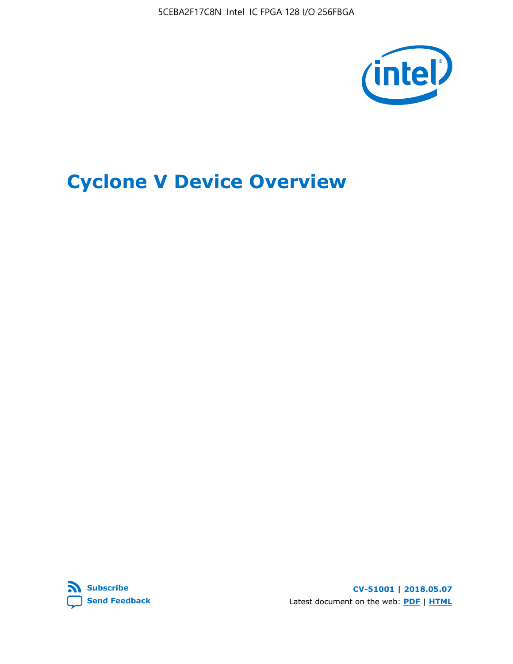5CEBA2F17C8N Intel IC FPGA 128 I/O 256FBGA



# **Cyclone V Device Overview**



**CV-51001 | 2018.05.07** Latest document on the web: **[PDF](https://www.altera.com/en_US/pdfs/literature/hb/cyclone-v/cv_51001.pdf)** | **[HTML](https://www.altera.com/documentation/sam1403480548153.html)**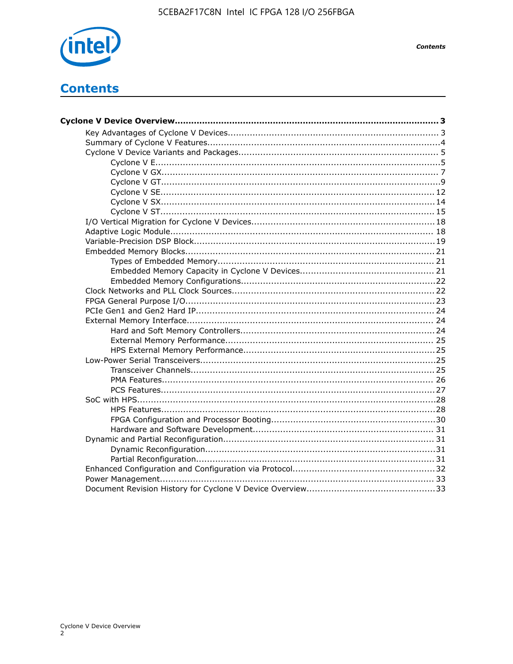

# **Contents**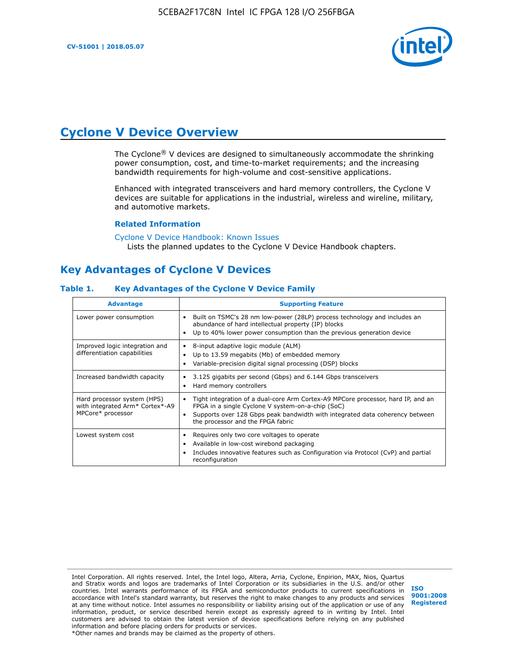

# **Cyclone V Device Overview**

The Cyclone® V devices are designed to simultaneously accommodate the shrinking power consumption, cost, and time-to-market requirements; and the increasing bandwidth requirements for high-volume and cost-sensitive applications.

Enhanced with integrated transceivers and hard memory controllers, the Cyclone V devices are suitable for applications in the industrial, wireless and wireline, military, and automotive markets.

#### **Related Information**

[Cyclone V Device Handbook: Known Issues](https://www.altera.com/support/support-resources/knowledge-base/solutions/rd12152011_347.html) Lists the planned updates to the Cyclone V Device Handbook chapters.

# **Key Advantages of Cyclone V Devices**

#### **Table 1. Key Advantages of the Cyclone V Device Family**

| <b>Advantage</b>                                                                    | <b>Supporting Feature</b>                                                                                                                                                                                                                                                    |
|-------------------------------------------------------------------------------------|------------------------------------------------------------------------------------------------------------------------------------------------------------------------------------------------------------------------------------------------------------------------------|
| Lower power consumption                                                             | Built on TSMC's 28 nm low-power (28LP) process technology and includes an<br>$\bullet$<br>abundance of hard intellectual property (IP) blocks<br>Up to 40% lower power consumption than the previous generation device                                                       |
| Improved logic integration and<br>differentiation capabilities                      | 8-input adaptive logic module (ALM)<br>٠<br>Up to 13.59 megabits (Mb) of embedded memory<br>٠<br>Variable-precision digital signal processing (DSP) blocks                                                                                                                   |
| Increased bandwidth capacity                                                        | 3.125 gigabits per second (Gbps) and 6.144 Gbps transceivers<br>٠<br>Hard memory controllers<br>٠                                                                                                                                                                            |
| Hard processor system (HPS)<br>with integrated Arm* Cortex*-A9<br>MPCore* processor | Tight integration of a dual-core Arm Cortex-A9 MPCore processor, hard IP, and an<br>$\bullet$<br>FPGA in a single Cyclone V system-on-a-chip (SoC)<br>Supports over 128 Gbps peak bandwidth with integrated data coherency between<br>٠<br>the processor and the FPGA fabric |
| Lowest system cost                                                                  | Requires only two core voltages to operate<br>٠<br>Available in low-cost wirebond packaging<br>٠<br>Includes innovative features such as Configuration via Protocol (CvP) and partial<br>٠<br>reconfiguration                                                                |

Intel Corporation. All rights reserved. Intel, the Intel logo, Altera, Arria, Cyclone, Enpirion, MAX, Nios, Quartus and Stratix words and logos are trademarks of Intel Corporation or its subsidiaries in the U.S. and/or other countries. Intel warrants performance of its FPGA and semiconductor products to current specifications in accordance with Intel's standard warranty, but reserves the right to make changes to any products and services at any time without notice. Intel assumes no responsibility or liability arising out of the application or use of any information, product, or service described herein except as expressly agreed to in writing by Intel. Intel customers are advised to obtain the latest version of device specifications before relying on any published information and before placing orders for products or services. \*Other names and brands may be claimed as the property of others.

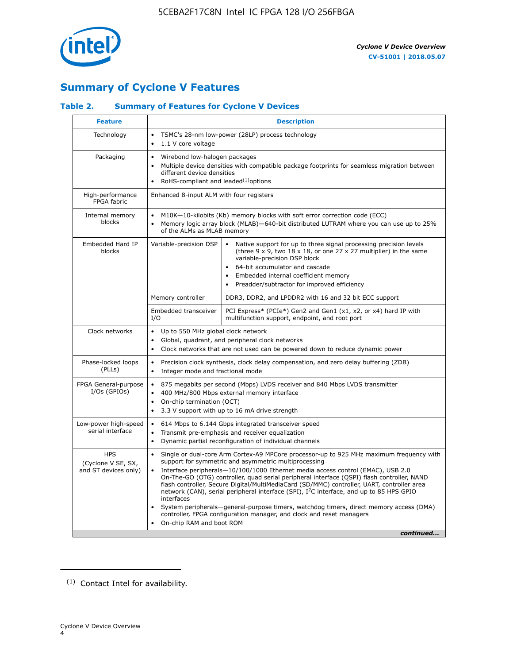

# **Summary of Cyclone V Features**

# **Table 2. Summary of Features for Cyclone V Devices**

| <b>Feature</b>                                           | <b>Description</b>                                                                                                                                                                                                                                                                                                                        |                                                                                                                                                                                                                                                                                                                                                                                                                                                                                                                                                                                                                                                                                                         |  |  |  |  |  |  |
|----------------------------------------------------------|-------------------------------------------------------------------------------------------------------------------------------------------------------------------------------------------------------------------------------------------------------------------------------------------------------------------------------------------|---------------------------------------------------------------------------------------------------------------------------------------------------------------------------------------------------------------------------------------------------------------------------------------------------------------------------------------------------------------------------------------------------------------------------------------------------------------------------------------------------------------------------------------------------------------------------------------------------------------------------------------------------------------------------------------------------------|--|--|--|--|--|--|
| Technology                                               | TSMC's 28-nm low-power (28LP) process technology<br>$\bullet$<br>1.1 V core voltage<br>$\bullet$                                                                                                                                                                                                                                          |                                                                                                                                                                                                                                                                                                                                                                                                                                                                                                                                                                                                                                                                                                         |  |  |  |  |  |  |
| Packaging                                                | $\bullet$                                                                                                                                                                                                                                                                                                                                 | Wirebond low-halogen packages<br>Multiple device densities with compatible package footprints for seamless migration between<br>different device densities<br>RoHS-compliant and leaded $(1)$ options                                                                                                                                                                                                                                                                                                                                                                                                                                                                                                   |  |  |  |  |  |  |
| High-performance<br>FPGA fabric                          | Enhanced 8-input ALM with four registers                                                                                                                                                                                                                                                                                                  |                                                                                                                                                                                                                                                                                                                                                                                                                                                                                                                                                                                                                                                                                                         |  |  |  |  |  |  |
| Internal memory<br>blocks                                | of the ALMs as MLAB memory                                                                                                                                                                                                                                                                                                                | M10K-10-kilobits (Kb) memory blocks with soft error correction code (ECC)<br>Memory logic array block (MLAB)-640-bit distributed LUTRAM where you can use up to 25%                                                                                                                                                                                                                                                                                                                                                                                                                                                                                                                                     |  |  |  |  |  |  |
| Embedded Hard IP<br>blocks                               | Variable-precision DSP<br>Native support for up to three signal processing precision levels<br>(three $9 \times 9$ , two $18 \times 18$ , or one 27 x 27 multiplier) in the same<br>variable-precision DSP block<br>64-bit accumulator and cascade<br>Embedded internal coefficient memory<br>Preadder/subtractor for improved efficiency |                                                                                                                                                                                                                                                                                                                                                                                                                                                                                                                                                                                                                                                                                                         |  |  |  |  |  |  |
|                                                          | Memory controller                                                                                                                                                                                                                                                                                                                         | DDR3, DDR2, and LPDDR2 with 16 and 32 bit ECC support                                                                                                                                                                                                                                                                                                                                                                                                                                                                                                                                                                                                                                                   |  |  |  |  |  |  |
|                                                          | Embedded transceiver<br>I/O                                                                                                                                                                                                                                                                                                               | PCI Express* (PCIe*) Gen2 and Gen1 (x1, x2, or x4) hard IP with<br>multifunction support, endpoint, and root port                                                                                                                                                                                                                                                                                                                                                                                                                                                                                                                                                                                       |  |  |  |  |  |  |
| Clock networks                                           | Up to 550 MHz global clock network<br>$\bullet$<br>$\bullet$                                                                                                                                                                                                                                                                              | Global, quadrant, and peripheral clock networks<br>Clock networks that are not used can be powered down to reduce dynamic power                                                                                                                                                                                                                                                                                                                                                                                                                                                                                                                                                                         |  |  |  |  |  |  |
| Phase-locked loops<br>(PLLs)                             | $\bullet$<br>Integer mode and fractional mode<br>$\bullet$                                                                                                                                                                                                                                                                                | Precision clock synthesis, clock delay compensation, and zero delay buffering (ZDB)                                                                                                                                                                                                                                                                                                                                                                                                                                                                                                                                                                                                                     |  |  |  |  |  |  |
| FPGA General-purpose<br>$I/Os$ (GPIOs)                   | $\bullet$<br>$\bullet$<br>On-chip termination (OCT)<br>$\bullet$                                                                                                                                                                                                                                                                          | 875 megabits per second (Mbps) LVDS receiver and 840 Mbps LVDS transmitter<br>400 MHz/800 Mbps external memory interface<br>3.3 V support with up to 16 mA drive strength                                                                                                                                                                                                                                                                                                                                                                                                                                                                                                                               |  |  |  |  |  |  |
| Low-power high-speed<br>serial interface                 | 614 Mbps to 6.144 Gbps integrated transceiver speed<br>$\bullet$<br>Transmit pre-emphasis and receiver equalization<br>$\bullet$<br>Dynamic partial reconfiguration of individual channels<br>$\bullet$                                                                                                                                   |                                                                                                                                                                                                                                                                                                                                                                                                                                                                                                                                                                                                                                                                                                         |  |  |  |  |  |  |
| <b>HPS</b><br>(Cyclone V SE, SX,<br>and ST devices only) | $\bullet$<br>$\bullet$<br>interfaces<br>On-chip RAM and boot ROM                                                                                                                                                                                                                                                                          | Single or dual-core Arm Cortex-A9 MPCore processor-up to 925 MHz maximum frequency with<br>support for symmetric and asymmetric multiprocessing<br>Interface peripherals-10/100/1000 Ethernet media access control (EMAC), USB 2.0<br>On-The-GO (OTG) controller, quad serial peripheral interface (QSPI) flash controller, NAND<br>flash controller, Secure Digital/MultiMediaCard (SD/MMC) controller, UART, controller area<br>network (CAN), serial peripheral interface (SPI), I <sup>2</sup> C interface, and up to 85 HPS GPIO<br>System peripherals—general-purpose timers, watchdog timers, direct memory access (DMA)<br>controller, FPGA configuration manager, and clock and reset managers |  |  |  |  |  |  |
|                                                          |                                                                                                                                                                                                                                                                                                                                           | continued                                                                                                                                                                                                                                                                                                                                                                                                                                                                                                                                                                                                                                                                                               |  |  |  |  |  |  |

<sup>(1)</sup> Contact Intel for availability.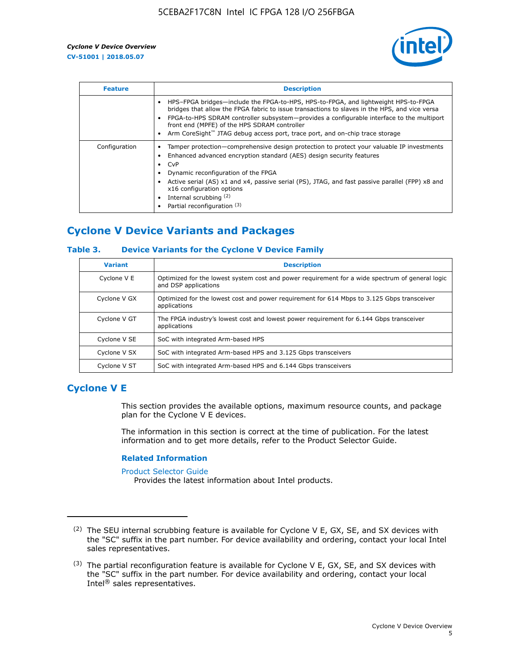

| <b>Feature</b> | <b>Description</b>                                                                                                                                                                                                                                                                                                                                                                                                           |
|----------------|------------------------------------------------------------------------------------------------------------------------------------------------------------------------------------------------------------------------------------------------------------------------------------------------------------------------------------------------------------------------------------------------------------------------------|
|                | HPS-FPGA bridges—include the FPGA-to-HPS, HPS-to-FPGA, and lightweight HPS-to-FPGA<br>bridges that allow the FPGA fabric to issue transactions to slaves in the HPS, and vice versa<br>FPGA-to-HPS SDRAM controller subsystem-provides a configurable interface to the multiport<br>front end (MPFE) of the HPS SDRAM controller<br>Arm CoreSight <sup>™</sup> JTAG debug access port, trace port, and on-chip trace storage |
| Configuration  | Tamper protection—comprehensive design protection to protect your valuable IP investments<br>Enhanced advanced encryption standard (AES) design security features<br>CvP<br>$\bullet$<br>Dynamic reconfiguration of the FPGA<br>Active serial (AS) x1 and x4, passive serial (PS), JTAG, and fast passive parallel (FPP) x8 and<br>x16 configuration options<br>Internal scrubbing (2)<br>Partial reconfiguration (3)        |

# **Cyclone V Device Variants and Packages**

# **Table 3. Device Variants for the Cyclone V Device Family**

| <b>Variant</b> | <b>Description</b>                                                                                                      |
|----------------|-------------------------------------------------------------------------------------------------------------------------|
| Cyclone V E    | Optimized for the lowest system cost and power requirement for a wide spectrum of general logic<br>and DSP applications |
| Cyclone V GX   | Optimized for the lowest cost and power requirement for 614 Mbps to 3.125 Gbps transceiver<br>applications              |
| Cyclone V GT   | The FPGA industry's lowest cost and lowest power requirement for 6.144 Gbps transceiver<br>applications                 |
| Cyclone V SE   | SoC with integrated Arm-based HPS                                                                                       |
| Cyclone V SX   | SoC with integrated Arm-based HPS and 3.125 Gbps transceivers                                                           |
| Cyclone V ST   | SoC with integrated Arm-based HPS and 6.144 Gbps transceivers                                                           |

# **Cyclone V E**

This section provides the available options, maximum resource counts, and package plan for the Cyclone V E devices.

The information in this section is correct at the time of publication. For the latest information and to get more details, refer to the Product Selector Guide.

#### **Related Information**

[Product Selector Guide](https://www.altera.com/products/product-selector-guide.html)

Provides the latest information about Intel products.

<sup>(2)</sup> The SEU internal scrubbing feature is available for Cyclone V E, GX, SE, and SX devices with the "SC" suffix in the part number. For device availability and ordering, contact your local Intel sales representatives.

 $(3)$  The partial reconfiguration feature is available for Cyclone V E, GX, SE, and SX devices with the "SC" suffix in the part number. For device availability and ordering, contact your local Intel® sales representatives.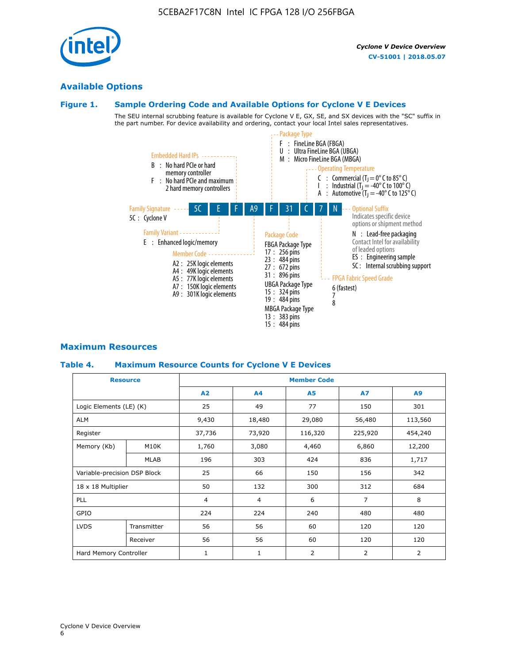# **Available Options**

# **Figure 1. Sample Ordering Code and Available Options for Cyclone V E Devices**

The SEU internal scrubbing feature is available for Cyclone V E, GX, SE, and SX devices with the "SC" suffix in the part number. For device availability and ordering, contact your local Intel sales representatives.



# **Maximum Resources**

## **Table 4. Maximum Resource Counts for Cyclone V E Devices**

|                              | <b>Resource</b> | <b>Member Code</b> |                |                |                |         |  |  |
|------------------------------|-----------------|--------------------|----------------|----------------|----------------|---------|--|--|
|                              |                 | A2                 | A4             | <b>A5</b>      | <b>A7</b>      | A9      |  |  |
| Logic Elements (LE) (K)      |                 | 25                 | 49             | 77             | 150            | 301     |  |  |
| <b>ALM</b>                   |                 | 9,430              | 18,480         | 29,080         | 56,480         | 113,560 |  |  |
| Register                     |                 |                    | 73,920         | 116,320        | 225,920        | 454,240 |  |  |
| Memory (Kb)                  | M10K            | 1,760              | 3,080          | 4,460          | 6,860          | 12,200  |  |  |
|                              | <b>MLAB</b>     | 196                | 303            | 424            | 836            | 1,717   |  |  |
| Variable-precision DSP Block |                 | 25                 | 66             | 150            | 156            | 342     |  |  |
| 18 x 18 Multiplier           |                 | 50                 | 132            | 300            | 312            | 684     |  |  |
| PLL                          |                 | $\overline{4}$     | $\overline{4}$ | 6              | $\overline{7}$ | 8       |  |  |
| GPIO                         |                 | 224                | 224            | 240            | 480            | 480     |  |  |
| <b>LVDS</b>                  | Transmitter     | 56                 | 56             | 60             | 120            | 120     |  |  |
|                              | Receiver        | 56                 | 56             | 60             | 120            | 120     |  |  |
| Hard Memory Controller       |                 | $\mathbf{1}$       | $\mathbf{1}$   | $\overline{2}$ | 2              | 2       |  |  |

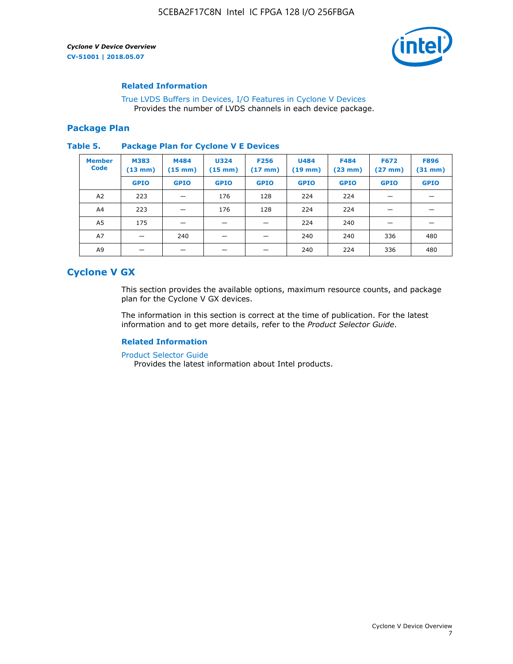

#### **Related Information**

[True LVDS Buffers in Devices, I/O Features in Cyclone V Devices](https://www.altera.com/documentation/sam1403481100977.html#sam1403480885395) Provides the number of LVDS channels in each device package.

#### **Package Plan**

#### **Table 5. Package Plan for Cyclone V E Devices**

| <b>Member</b><br><b>Code</b> | <b>M383</b><br>$(13 \text{ mm})$ | M484<br>$(15 \text{ mm})$ | <b>U324</b><br>$(15 \text{ mm})$ | <b>F256</b><br>$(17 \text{ mm})$ | <b>U484</b><br>$(19$ mm) | <b>F484</b><br>$(23$ mm $)$ | <b>F672</b><br>$(27 \text{ mm})$ | <b>F896</b><br>$(31 \text{ mm})$ |
|------------------------------|----------------------------------|---------------------------|----------------------------------|----------------------------------|--------------------------|-----------------------------|----------------------------------|----------------------------------|
|                              | <b>GPIO</b>                      | <b>GPIO</b>               | <b>GPIO</b>                      | <b>GPIO</b>                      | <b>GPIO</b>              | <b>GPIO</b>                 | <b>GPIO</b>                      | <b>GPIO</b>                      |
| A2                           | 223                              |                           | 176                              | 128                              | 224                      | 224                         | –                                |                                  |
| A4                           | 223                              | -                         | 176                              | 128                              | 224                      | 224                         | –                                |                                  |
| A <sub>5</sub>               | 175                              | _                         |                                  |                                  | 224                      | 240                         | –                                |                                  |
| A7                           |                                  | 240                       |                                  |                                  | 240                      | 240                         | 336                              | 480                              |
| A9                           |                                  |                           |                                  |                                  | 240                      | 224                         | 336                              | 480                              |

# **Cyclone V GX**

This section provides the available options, maximum resource counts, and package plan for the Cyclone V GX devices.

The information in this section is correct at the time of publication. For the latest information and to get more details, refer to the *Product Selector Guide*.

# **Related Information**

[Product Selector Guide](https://www.altera.com/products/product-selector-guide.html)

Provides the latest information about Intel products.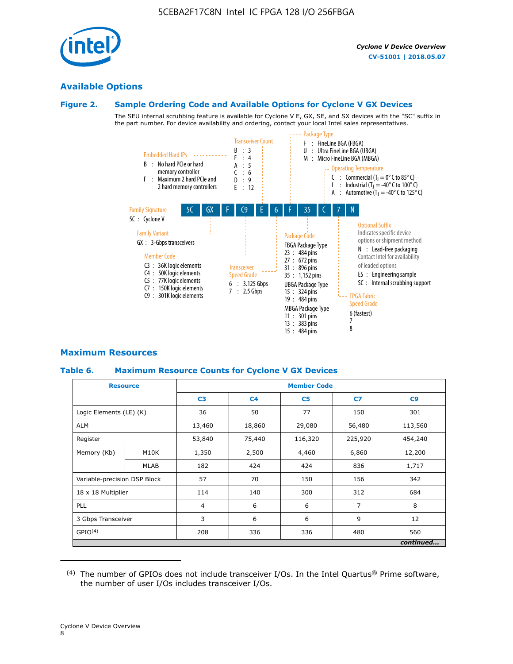

# **Available Options**

## **Figure 2. Sample Ordering Code and Available Options for Cyclone V GX Devices**

The SEU internal scrubbing feature is available for Cyclone V E, GX, SE, and SX devices with the "SC" suffix in the part number. For device availability and ordering, contact your local Intel sales representatives.



# **Maximum Resources**

## **Table 6. Maximum Resource Counts for Cyclone V GX Devices**

|                              | <b>Resource</b> | <b>Member Code</b> |                |                |                |           |  |  |
|------------------------------|-----------------|--------------------|----------------|----------------|----------------|-----------|--|--|
|                              |                 | C <sub>3</sub>     | C <sub>4</sub> | C <sub>5</sub> | C7             | C9        |  |  |
| Logic Elements (LE) (K)      |                 | 36                 | 50             | 77             | 150            | 301       |  |  |
| <b>ALM</b>                   |                 | 13,460             | 18,860         | 29,080         | 56,480         | 113,560   |  |  |
| Register                     |                 | 53,840             | 75,440         | 116,320        | 225,920        | 454,240   |  |  |
| Memory (Kb)                  | M10K            | 1,350              | 2,500          | 4,460          | 6,860          | 12,200    |  |  |
|                              | <b>MLAB</b>     | 182                | 424            | 424            | 836            | 1,717     |  |  |
| Variable-precision DSP Block |                 | 57                 | 70             | 150            | 156            | 342       |  |  |
| 18 x 18 Multiplier           |                 | 114                | 140            | 300            | 312            | 684       |  |  |
| PLL                          |                 | $\overline{4}$     | 6              | 6              | $\overline{7}$ | 8         |  |  |
| 3 Gbps Transceiver           |                 | 3                  | 6              | 6              | 9              | 12        |  |  |
| GPIO <sup>(4)</sup>          |                 | 208                | 336            | 336            | 480            | 560       |  |  |
|                              |                 |                    |                |                |                | continued |  |  |

 $(4)$  The number of GPIOs does not include transceiver I/Os. In the Intel Quartus® Prime software, the number of user I/Os includes transceiver I/Os.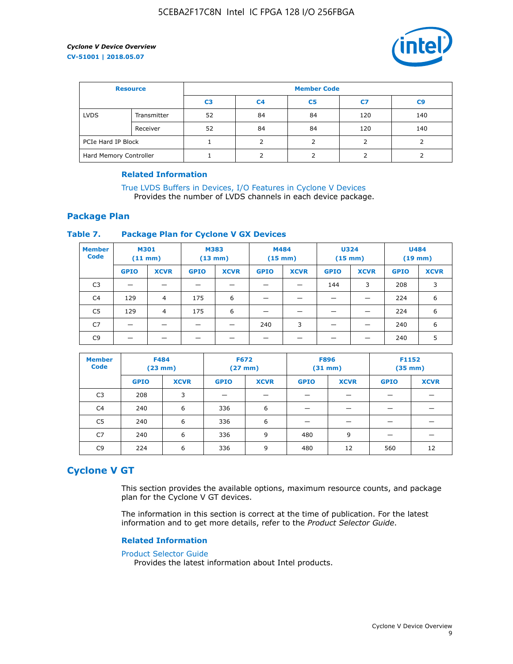

| <b>Resource</b>        |             | <b>Member Code</b> |                |                |     |                |  |  |  |
|------------------------|-------------|--------------------|----------------|----------------|-----|----------------|--|--|--|
|                        |             | C <sub>3</sub>     | C <sub>4</sub> | C <sub>5</sub> | C7  | C <sub>9</sub> |  |  |  |
| <b>LVDS</b>            | Transmitter | 52                 | 84             | 84             | 120 | 140            |  |  |  |
|                        | Receiver    | 52                 | 84             | 84             | 120 | 140            |  |  |  |
| PCIe Hard IP Block     |             |                    |                |                |     |                |  |  |  |
| Hard Memory Controller |             |                    | h              |                |     |                |  |  |  |

## **Related Information**

[True LVDS Buffers in Devices, I/O Features in Cyclone V Devices](https://www.altera.com/documentation/sam1403481100977.html#sam1403480885395) Provides the number of LVDS channels in each device package.

# **Package Plan**

## **Table 7. Package Plan for Cyclone V GX Devices**

| <b>Member</b><br><b>Code</b> | <b>M301</b><br>$(11$ mm) |                | <b>M383</b><br>$(13 \text{ mm})$ |             | M484        | $(15 \text{ mm})$ | <b>U324</b><br>$(15 \text{ mm})$ |             | <b>U484</b><br>$(19$ mm) |             |
|------------------------------|--------------------------|----------------|----------------------------------|-------------|-------------|-------------------|----------------------------------|-------------|--------------------------|-------------|
|                              | <b>GPIO</b>              | <b>XCVR</b>    | <b>GPIO</b>                      | <b>XCVR</b> | <b>GPIO</b> | <b>XCVR</b>       | <b>GPIO</b>                      | <b>XCVR</b> | <b>GPIO</b>              | <b>XCVR</b> |
| C <sub>3</sub>               |                          |                |                                  |             |             |                   | 144                              | 3           | 208                      | 3           |
| C <sub>4</sub>               | 129                      | $\overline{4}$ | 175                              | 6           |             |                   | –                                |             | 224                      | 6           |
| C5                           | 129                      | 4              | 175                              | 6           |             |                   |                                  |             | 224                      | 6           |
| C7                           | _                        |                |                                  |             | 240         | 3                 |                                  |             | 240                      | 6           |
| C9                           |                          |                |                                  |             |             |                   |                                  |             | 240                      | 5           |

| <b>Member</b><br><b>Code</b> | <b>F484</b> | $(23$ mm)   | <b>F672</b> | $(27 \text{ mm})$ | <b>F896</b><br>$(31 \text{ mm})$ |             | F1152<br>$(35 \text{ mm})$ |             |
|------------------------------|-------------|-------------|-------------|-------------------|----------------------------------|-------------|----------------------------|-------------|
|                              | <b>GPIO</b> | <b>XCVR</b> | <b>GPIO</b> | <b>XCVR</b>       | <b>GPIO</b>                      | <b>XCVR</b> | <b>GPIO</b>                | <b>XCVR</b> |
| C <sub>3</sub>               | 208         | 3           |             |                   |                                  |             |                            |             |
| C4                           | 240         | 6           | 336         | 6                 |                                  |             |                            |             |
| C5                           | 240         | 6           | 336         | 6                 |                                  |             |                            |             |
| C7                           | 240         | 6           | 336         | 9                 | 480                              | 9           |                            |             |
| C <sub>9</sub>               | 224         | 6           | 336         | 9                 | 480                              | 12          | 560                        | 12          |

# **Cyclone V GT**

This section provides the available options, maximum resource counts, and package plan for the Cyclone V GT devices.

The information in this section is correct at the time of publication. For the latest information and to get more details, refer to the *Product Selector Guide*.

#### **Related Information**

#### [Product Selector Guide](https://www.altera.com/products/product-selector-guide.html)

Provides the latest information about Intel products.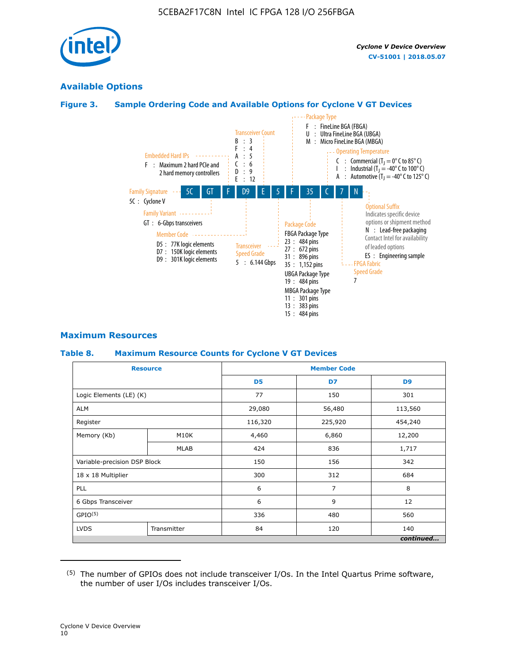

# **Available Options**

# **Figure 3. Sample Ordering Code and Available Options for Cyclone V GT Devices**



## **Maximum Resources**

#### **Table 8. Maximum Resource Counts for Cyclone V GT Devices**

|                              | <b>Resource</b> | <b>Member Code</b> |         |                |  |  |
|------------------------------|-----------------|--------------------|---------|----------------|--|--|
|                              |                 | D <sub>5</sub>     | D7      | D <sub>9</sub> |  |  |
| Logic Elements (LE) (K)      |                 | 77                 | 150     | 301            |  |  |
| <b>ALM</b>                   |                 | 29,080             | 56,480  | 113,560        |  |  |
| Register                     |                 | 116,320            | 225,920 | 454,240        |  |  |
| Memory (Kb)                  | M10K            | 4,460              | 6,860   | 12,200         |  |  |
|                              | <b>MLAB</b>     | 424                | 836     | 1,717          |  |  |
| Variable-precision DSP Block |                 | 150                | 156     | 342            |  |  |
| 18 x 18 Multiplier           |                 | 300                | 312     | 684            |  |  |
| PLL                          |                 | 6                  | 7       | 8              |  |  |
| 6 Gbps Transceiver           |                 | 6                  | 9       | 12             |  |  |
| GPIO <sup>(5)</sup>          |                 | 336                | 480     | 560            |  |  |
| <b>LVDS</b>                  | Transmitter     | 84                 | 120     | 140            |  |  |
|                              |                 |                    |         | continued      |  |  |

<sup>(5)</sup> The number of GPIOs does not include transceiver I/Os. In the Intel Quartus Prime software, the number of user I/Os includes transceiver I/Os.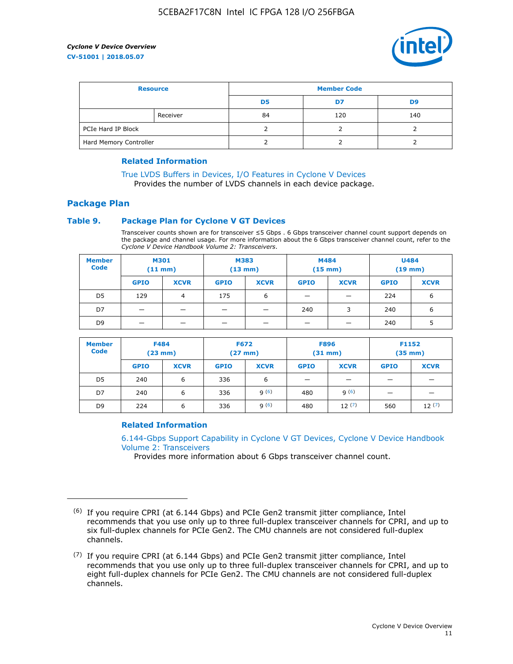

| <b>Resource</b>        |          | <b>Member Code</b> |     |     |  |  |
|------------------------|----------|--------------------|-----|-----|--|--|
|                        |          | D5                 | D7  | D9  |  |  |
|                        | Receiver | 84                 | 120 | 140 |  |  |
| PCIe Hard IP Block     |          |                    |     |     |  |  |
| Hard Memory Controller |          |                    |     |     |  |  |

## **Related Information**

[True LVDS Buffers in Devices, I/O Features in Cyclone V Devices](https://www.altera.com/documentation/sam1403481100977.html#sam1403480885395) Provides the number of LVDS channels in each device package.

# **Package Plan**

## **Table 9. Package Plan for Cyclone V GT Devices**

Transceiver counts shown are for transceiver ≤5 Gbps . 6 Gbps transceiver channel count support depends on the package and channel usage. For more information about the 6 Gbps transceiver channel count, refer to the *Cyclone V Device Handbook Volume 2: Transceivers*.

| <b>Member</b><br><b>Code</b> | <b>M301</b><br>(11 mm) |                | M383<br>$(13 \text{ mm})$ |             | M484<br>$(15 \text{ mm})$ |             | <b>U484</b><br>$(19$ mm) |             |
|------------------------------|------------------------|----------------|---------------------------|-------------|---------------------------|-------------|--------------------------|-------------|
|                              | <b>GPIO</b>            | <b>XCVR</b>    | <b>GPIO</b>               | <b>XCVR</b> | <b>GPIO</b>               | <b>XCVR</b> | <b>GPIO</b>              | <b>XCVR</b> |
| D5                           | 129                    | $\overline{4}$ | 175                       | 6           | -                         |             | 224                      | 6           |
| D7                           | -                      |                |                           |             | 240                       | 3           | 240                      | 6           |
| D <sub>9</sub>               | -                      | _              |                           |             | _                         |             | 240                      | 5           |

| <b>Member</b><br><b>Code</b> | <b>F484</b><br>$(23 \text{ mm})$ |             | <b>F672</b><br>$(27 \text{ mm})$ |             | <b>F896</b><br>$(31 \text{ mm})$ |             | F1152<br>$(35$ mm $)$    |             |
|------------------------------|----------------------------------|-------------|----------------------------------|-------------|----------------------------------|-------------|--------------------------|-------------|
|                              | <b>GPIO</b>                      | <b>XCVR</b> | <b>GPIO</b>                      | <b>XCVR</b> | <b>GPIO</b>                      | <b>XCVR</b> | <b>GPIO</b>              | <b>XCVR</b> |
| D <sub>5</sub>               | 240                              | 6           | 336                              | 6           | -                                |             | _                        |             |
| D7                           | 240                              | 6           | 336                              | q(6)        | 480                              | q(6)        | $\overline{\phantom{0}}$ | -           |
| D <sub>9</sub>               | 224                              | 6           | 336                              | 9(6)        | 480                              | 12(7)       | 560                      | 12(7)       |

## **Related Information**

[6.144-Gbps Support Capability in Cyclone V GT Devices, Cyclone V Device Handbook](https://www.altera.com/documentation/nik1409855456781.html#nik1409855410757) [Volume 2: Transceivers](https://www.altera.com/documentation/nik1409855456781.html#nik1409855410757)

Provides more information about 6 Gbps transceiver channel count.

<sup>(6)</sup> If you require CPRI (at 6.144 Gbps) and PCIe Gen2 transmit jitter compliance, Intel recommends that you use only up to three full-duplex transceiver channels for CPRI, and up to six full-duplex channels for PCIe Gen2. The CMU channels are not considered full-duplex channels.

 $(7)$  If you require CPRI (at 6.144 Gbps) and PCIe Gen2 transmit jitter compliance, Intel recommends that you use only up to three full-duplex transceiver channels for CPRI, and up to eight full-duplex channels for PCIe Gen2. The CMU channels are not considered full-duplex channels.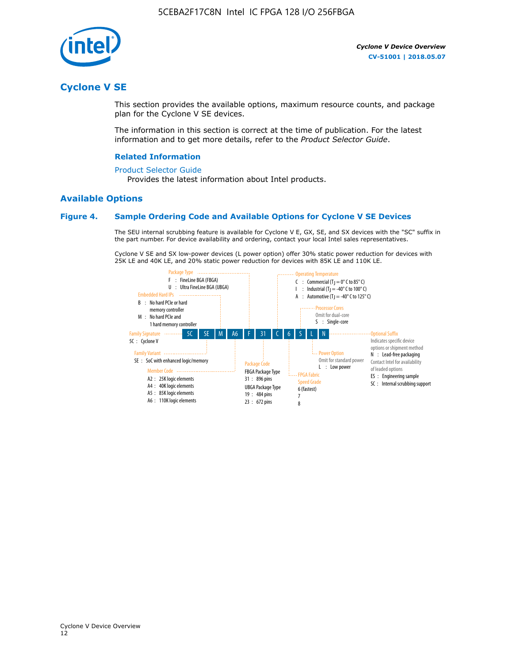

# **Cyclone V SE**

This section provides the available options, maximum resource counts, and package plan for the Cyclone V SE devices.

The information in this section is correct at the time of publication. For the latest information and to get more details, refer to the *Product Selector Guide*.

#### **Related Information**

#### [Product Selector Guide](https://www.altera.com/products/product-selector-guide.html)

Provides the latest information about Intel products.

# **Available Options**

#### **Figure 4. Sample Ordering Code and Available Options for Cyclone V SE Devices**

The SEU internal scrubbing feature is available for Cyclone V E, GX, SE, and SX devices with the "SC" suffix in the part number. For device availability and ordering, contact your local Intel sales representatives.

Cyclone V SE and SX low-power devices (L power option) offer 30% static power reduction for devices with 25K LE and 40K LE, and 20% static power reduction for devices with 85K LE and 110K LE.

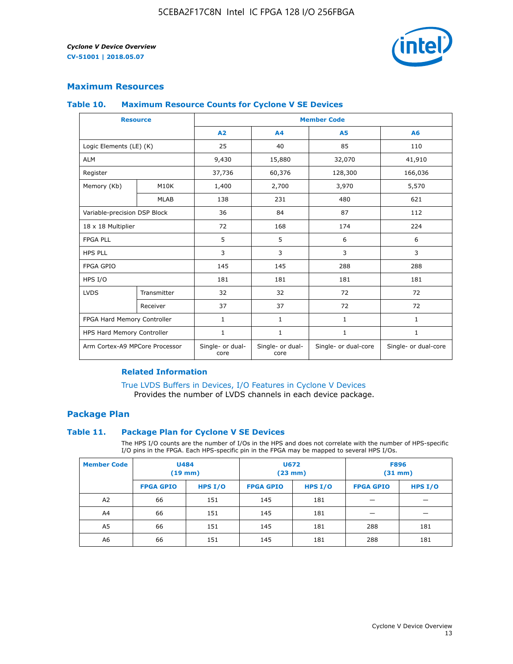

# **Maximum Resources**

#### **Table 10. Maximum Resource Counts for Cyclone V SE Devices**

|                                | <b>Resource</b> | <b>Member Code</b>       |                          |                      |                      |  |
|--------------------------------|-----------------|--------------------------|--------------------------|----------------------|----------------------|--|
|                                |                 | A <sub>2</sub>           | A <sub>4</sub>           | <b>A5</b>            | A6                   |  |
| Logic Elements (LE) (K)        |                 | 25                       | 40                       | 85                   | 110                  |  |
| <b>ALM</b>                     |                 | 9,430                    | 15,880                   | 32,070               | 41,910               |  |
| Register                       |                 | 37,736                   | 60,376                   | 128,300              | 166,036              |  |
| Memory (Kb)                    | M10K            | 1,400                    | 2,700                    | 3,970                | 5,570                |  |
|                                | <b>MLAB</b>     | 138                      | 231                      | 480                  | 621                  |  |
| Variable-precision DSP Block   |                 | 36                       | 84                       | 87                   | 112                  |  |
| 18 x 18 Multiplier             |                 | 72                       | 168                      | 174                  | 224                  |  |
| <b>FPGA PLL</b>                |                 | 5                        | 5                        | 6                    | 6                    |  |
| <b>HPS PLL</b>                 |                 | 3                        | 3                        | 3                    | 3                    |  |
| <b>FPGA GPIO</b>               |                 | 145                      | 145                      | 288                  | 288                  |  |
| HPS I/O                        |                 | 181                      | 181                      | 181                  | 181                  |  |
| <b>LVDS</b>                    | Transmitter     | 32                       | 32                       | 72                   | 72                   |  |
|                                | Receiver        | 37                       | 37                       | 72                   | 72                   |  |
| FPGA Hard Memory Controller    |                 | 1                        | $\mathbf{1}$             | $\mathbf{1}$         | $\mathbf{1}$         |  |
| HPS Hard Memory Controller     |                 | $\mathbf{1}$             | $\mathbf{1}$             | $\mathbf{1}$         | $\mathbf{1}$         |  |
| Arm Cortex-A9 MPCore Processor |                 | Single- or dual-<br>core | Single- or dual-<br>core | Single- or dual-core | Single- or dual-core |  |

# **Related Information**

[True LVDS Buffers in Devices, I/O Features in Cyclone V Devices](https://www.altera.com/documentation/sam1403481100977.html#sam1403480885395) Provides the number of LVDS channels in each device package.

# **Package Plan**

#### **Table 11. Package Plan for Cyclone V SE Devices**

The HPS I/O counts are the number of I/Os in the HPS and does not correlate with the number of HPS-specific I/O pins in the FPGA. Each HPS-specific pin in the FPGA may be mapped to several HPS I/Os.

| <b>Member Code</b> | <b>U484</b><br>$(19$ mm) |           | <b>U672</b><br>(23 mm) |           | <b>F896</b><br>$(31$ mm $)$ |           |
|--------------------|--------------------------|-----------|------------------------|-----------|-----------------------------|-----------|
|                    | <b>FPGA GPIO</b>         | HPS $I/O$ | <b>FPGA GPIO</b>       | HPS $I/O$ | <b>FPGA GPIO</b>            | HPS $I/O$ |
| A <sub>2</sub>     | 66                       | 151       | 145                    | 181       |                             |           |
| A4                 | 66                       | 151       | 145                    | 181       |                             |           |
| A <sub>5</sub>     | 66                       | 151       | 145                    | 181       | 288                         | 181       |
| A6                 | 66                       | 151       | 145                    | 181       | 288                         | 181       |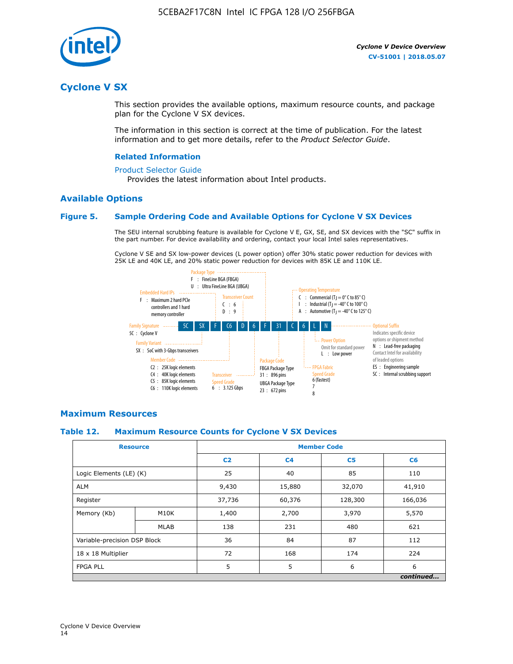

# **Cyclone V SX**

This section provides the available options, maximum resource counts, and package plan for the Cyclone V SX devices.

The information in this section is correct at the time of publication. For the latest information and to get more details, refer to the *Product Selector Guide*.

#### **Related Information**

#### [Product Selector Guide](https://www.altera.com/products/product-selector-guide.html)

Provides the latest information about Intel products.

# **Available Options**

## **Figure 5. Sample Ordering Code and Available Options for Cyclone V SX Devices**

The SEU internal scrubbing feature is available for Cyclone V E, GX, SE, and SX devices with the "SC" suffix in the part number. For device availability and ordering, contact your local Intel sales representatives.

Cyclone V SE and SX low-power devices (L power option) offer 30% static power reduction for devices with 25K LE and 40K LE, and 20% static power reduction for devices with 85K LE and 110K LE.



## **Maximum Resources**

## **Table 12. Maximum Resource Counts for Cyclone V SX Devices**

|                              | <b>Resource</b> | <b>Member Code</b> |                |                |           |  |
|------------------------------|-----------------|--------------------|----------------|----------------|-----------|--|
|                              |                 | C <sub>2</sub>     | C <sub>4</sub> | C <sub>5</sub> | C6        |  |
| Logic Elements (LE) (K)      |                 | 25                 | 40             | 85             | 110       |  |
| <b>ALM</b>                   |                 | 9,430              | 15,880         | 32,070         | 41,910    |  |
| Register                     |                 | 37,736             | 60,376         | 128,300        | 166,036   |  |
| Memory (Kb)                  | M10K            | 1,400              | 2,700          | 3,970          | 5,570     |  |
|                              | <b>MLAB</b>     | 138                | 231            | 480            | 621       |  |
| Variable-precision DSP Block |                 | 36                 | 84             | 87             | 112       |  |
| 18 x 18 Multiplier           |                 | 72                 | 168            | 174            | 224       |  |
| <b>FPGA PLL</b>              |                 | 5                  | 5              | 6              | 6         |  |
|                              |                 |                    |                |                | continued |  |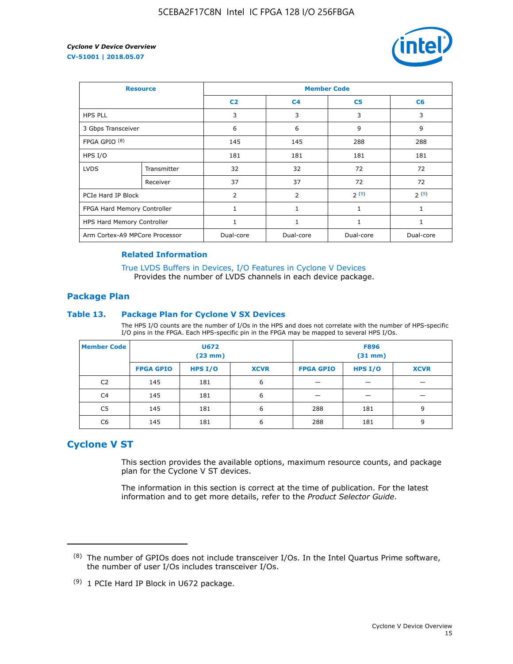

| <b>Resource</b>                |             | <b>Member Code</b> |                |                |           |  |  |
|--------------------------------|-------------|--------------------|----------------|----------------|-----------|--|--|
|                                |             | C <sub>2</sub>     | C <sub>4</sub> | C <sub>5</sub> | C6        |  |  |
| <b>HPS PLL</b>                 |             | 3                  | 3              | 3              | 3         |  |  |
| 3 Gbps Transceiver             |             | 6                  | 6              | 9              | 9         |  |  |
| FPGA GPIO <sup>(8)</sup>       |             | 145                | 145            | 288            | 288       |  |  |
| HPS I/O                        |             | 181                | 181            | 181            | 181       |  |  |
| <b>LVDS</b>                    | Transmitter | 32                 | 32             | 72             | 72        |  |  |
|                                | Receiver    | 37                 | 37             | 72             | 72        |  |  |
| PCIe Hard IP Block             |             | $\overline{2}$     | $\overline{2}$ | 2(9)           | 2(9)      |  |  |
| FPGA Hard Memory Controller    |             | $\mathbf{1}$       | 1              | 1              | 1         |  |  |
| HPS Hard Memory Controller     |             | 1                  | 1              | 1              | 1         |  |  |
| Arm Cortex-A9 MPCore Processor |             | Dual-core          | Dual-core      | Dual-core      | Dual-core |  |  |

## **Related Information**

[True LVDS Buffers in Devices, I/O Features in Cyclone V Devices](https://www.altera.com/documentation/sam1403481100977.html#sam1403480885395) Provides the number of LVDS channels in each device package.

# **Package Plan**

#### **Table 13. Package Plan for Cyclone V SX Devices**

The HPS I/O counts are the number of I/Os in the HPS and does not correlate with the number of HPS-specific I/O pins in the FPGA. Each HPS-specific pin in the FPGA may be mapped to several HPS I/Os.

| <b>Member Code</b> | U672<br>(23 mm)  |           | <b>F896</b><br>$(31$ mm $)$ |                  |           |             |
|--------------------|------------------|-----------|-----------------------------|------------------|-----------|-------------|
|                    | <b>FPGA GPIO</b> | HPS $I/O$ | <b>XCVR</b>                 | <b>FPGA GPIO</b> | HPS $I/O$ | <b>XCVR</b> |
| C <sub>2</sub>     | 145              | 181       | 6                           |                  |           |             |
| C <sub>4</sub>     | 145              | 181       | 6                           |                  |           |             |
| C5                 | 145              | 181       | 6                           | 288              | 181       | 9           |
| C6                 | 145              | 181       | 6                           | 288              | 181       | 9           |

# **Cyclone V ST**

This section provides the available options, maximum resource counts, and package plan for the Cyclone V ST devices.

The information in this section is correct at the time of publication. For the latest information and to get more details, refer to the *Product Selector Guide*.

 $(8)$  The number of GPIOs does not include transceiver I/Os. In the Intel Quartus Prime software, the number of user I/Os includes transceiver I/Os.

<sup>(9)</sup> 1 PCIe Hard IP Block in U672 package.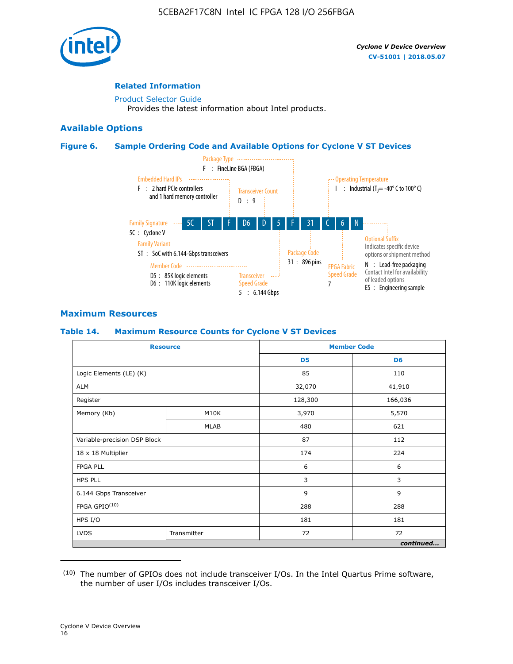

# **Related Information**

[Product Selector Guide](https://www.altera.com/products/product-selector-guide.html) Provides the latest information about Intel products.

# **Available Options**

## **Figure 6. Sample Ordering Code and Available Options for Cyclone V ST Devices**



# **Maximum Resources**

## **Table 14. Maximum Resource Counts for Cyclone V ST Devices**

| <b>Resource</b>              |             |                | <b>Member Code</b> |
|------------------------------|-------------|----------------|--------------------|
|                              |             | D <sub>5</sub> | D <sub>6</sub>     |
| Logic Elements (LE) (K)      |             | 85             | 110                |
| <b>ALM</b>                   |             | 32,070         | 41,910             |
| Register                     |             | 128,300        | 166,036            |
| Memory (Kb)                  | M10K        | 3,970          | 5,570              |
|                              | <b>MLAB</b> | 480            | 621                |
| Variable-precision DSP Block |             | 87             | 112                |
| 18 x 18 Multiplier           |             | 174            | 224                |
| <b>FPGA PLL</b>              |             | 6              | 6                  |
| <b>HPS PLL</b>               |             | 3              | 3                  |
| 6.144 Gbps Transceiver       |             | 9              | 9                  |
| FPGA GPIO(10)                |             | 288            | 288                |
| HPS I/O                      |             | 181            | 181                |
| <b>LVDS</b><br>Transmitter   |             | 72             | 72                 |
|                              |             |                | continued          |

<sup>(10)</sup> The number of GPIOs does not include transceiver I/Os. In the Intel Quartus Prime software, the number of user I/Os includes transceiver I/Os.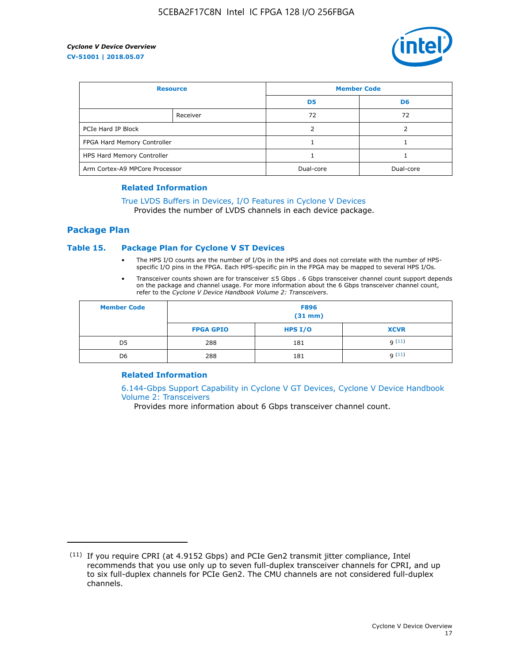

| <b>Resource</b>                |          | <b>Member Code</b> |                |  |
|--------------------------------|----------|--------------------|----------------|--|
|                                |          | D <sub>5</sub>     | D <sub>6</sub> |  |
|                                | Receiver | 72                 | 72             |  |
| PCIe Hard IP Block             |          |                    |                |  |
| FPGA Hard Memory Controller    |          |                    |                |  |
| HPS Hard Memory Controller     |          |                    |                |  |
| Arm Cortex-A9 MPCore Processor |          | Dual-core          | Dual-core      |  |

#### **Related Information**

# [True LVDS Buffers in Devices, I/O Features in Cyclone V Devices](https://www.altera.com/documentation/sam1403481100977.html#sam1403480885395)

Provides the number of LVDS channels in each device package.

# **Package Plan**

#### **Table 15. Package Plan for Cyclone V ST Devices**

- The HPS I/O counts are the number of I/Os in the HPS and does not correlate with the number of HPSspecific I/O pins in the FPGA. Each HPS-specific pin in the FPGA may be mapped to several HPS I/Os.
- Transceiver counts shown are for transceiver ≤5 Gbps . 6 Gbps transceiver channel count support depends on the package and channel usage. For more information about the 6 Gbps transceiver channel count, refer to the *Cyclone V Device Handbook Volume 2: Transceivers*.

| <b>Member Code</b> | <b>F896</b><br>$(31$ mm $)$ |           |             |  |  |
|--------------------|-----------------------------|-----------|-------------|--|--|
|                    | <b>FPGA GPIO</b>            | HPS $I/O$ | <b>XCVR</b> |  |  |
| D <sub>5</sub>     | 288                         | 181       | 9(11)       |  |  |
| D <sub>6</sub>     | 288                         | 181       | q(11)       |  |  |

## **Related Information**

[6.144-Gbps Support Capability in Cyclone V GT Devices, Cyclone V Device Handbook](https://www.altera.com/documentation/nik1409855456781.html#nik1409855410757) [Volume 2: Transceivers](https://www.altera.com/documentation/nik1409855456781.html#nik1409855410757)

Provides more information about 6 Gbps transceiver channel count.

<sup>(11)</sup> If you require CPRI (at 4.9152 Gbps) and PCIe Gen2 transmit jitter compliance, Intel recommends that you use only up to seven full-duplex transceiver channels for CPRI, and up to six full-duplex channels for PCIe Gen2. The CMU channels are not considered full-duplex channels.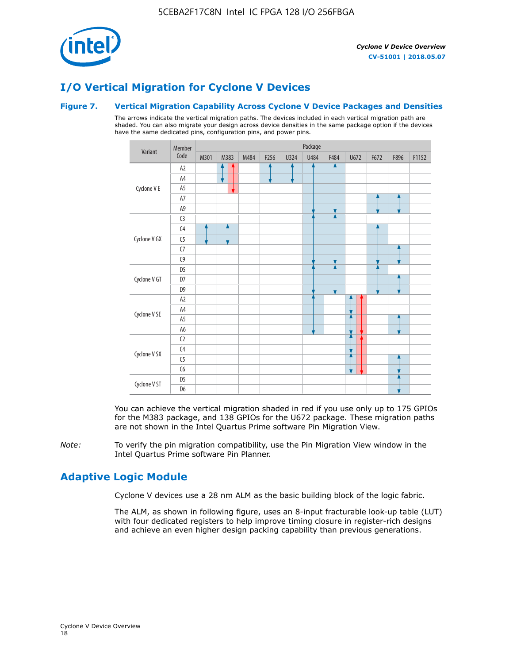

# **I/O Vertical Migration for Cyclone V Devices**

## **Figure 7. Vertical Migration Capability Across Cyclone V Device Packages and Densities**

The arrows indicate the vertical migration paths. The devices included in each vertical migration path are shaded. You can also migrate your design across device densities in the same package option if the devices have the same dedicated pins, configuration pins, and power pins.



You can achieve the vertical migration shaded in red if you use only up to 175 GPIOs for the M383 package, and 138 GPIOs for the U672 package. These migration paths are not shown in the Intel Quartus Prime software Pin Migration View.

*Note:* To verify the pin migration compatibility, use the Pin Migration View window in the Intel Quartus Prime software Pin Planner.

# **Adaptive Logic Module**

Cyclone V devices use a 28 nm ALM as the basic building block of the logic fabric.

The ALM, as shown in following figure, uses an 8-input fracturable look-up table (LUT) with four dedicated registers to help improve timing closure in register-rich designs and achieve an even higher design packing capability than previous generations.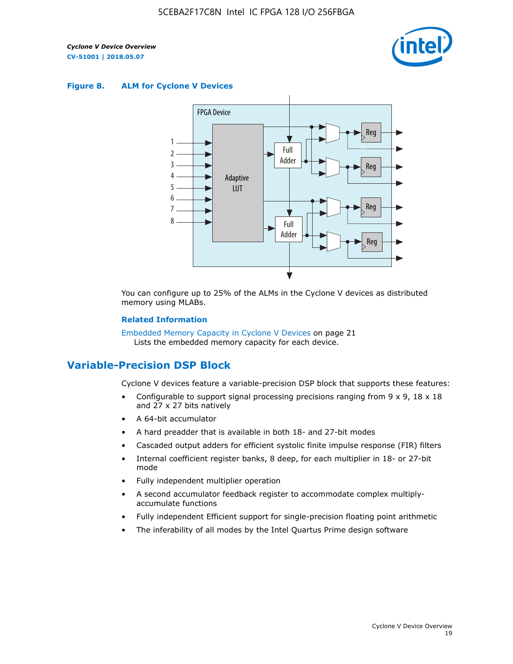

#### **Figure 8. ALM for Cyclone V Devices**



You can configure up to 25% of the ALMs in the Cyclone V devices as distributed memory using MLABs.

#### **Related Information**

Embedded Memory Capacity in Cyclone V Devices on page 21 Lists the embedded memory capacity for each device.

# **Variable-Precision DSP Block**

Cyclone V devices feature a variable-precision DSP block that supports these features:

- Configurable to support signal processing precisions ranging from  $9 \times 9$ ,  $18 \times 18$ and 27 x 27 bits natively
- A 64-bit accumulator
- A hard preadder that is available in both 18- and 27-bit modes
- Cascaded output adders for efficient systolic finite impulse response (FIR) filters
- Internal coefficient register banks, 8 deep, for each multiplier in 18- or 27-bit mode
- Fully independent multiplier operation
- A second accumulator feedback register to accommodate complex multiplyaccumulate functions
- Fully independent Efficient support for single-precision floating point arithmetic
- The inferability of all modes by the Intel Quartus Prime design software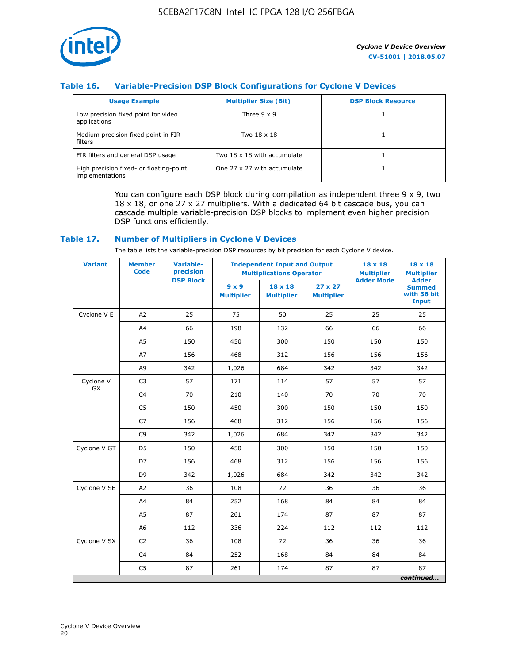

# **Table 16. Variable-Precision DSP Block Configurations for Cyclone V Devices**

| <b>Usage Example</b>                                       | <b>Multiplier Size (Bit)</b> | <b>DSP Block Resource</b> |
|------------------------------------------------------------|------------------------------|---------------------------|
| Low precision fixed point for video<br>applications        | Three $9 \times 9$           |                           |
| Medium precision fixed point in FIR<br>filters             | Two 18 x 18                  |                           |
| FIR filters and general DSP usage                          | Two 18 x 18 with accumulate  |                           |
| High precision fixed- or floating-point<br>implementations | One 27 x 27 with accumulate  |                           |

You can configure each DSP block during compilation as independent three  $9 \times 9$ , two 18 x 18, or one 27 x 27 multipliers. With a dedicated 64 bit cascade bus, you can cascade multiple variable-precision DSP blocks to implement even higher precision DSP functions efficiently.

## **Table 17. Number of Multipliers in Cyclone V Devices**

The table lists the variable-precision DSP resources by bit precision for each Cyclone V device.

| <b>Variant</b>  | <b>Member</b><br><b>Code</b> | <b>Variable-</b><br>precision |                                   | <b>Independent Input and Output</b><br><b>Multiplications Operator</b> | $18 \times 18$<br><b>Multiplier</b> | $18 \times 18$<br><b>Multiplier</b> |                                                              |
|-----------------|------------------------------|-------------------------------|-----------------------------------|------------------------------------------------------------------------|-------------------------------------|-------------------------------------|--------------------------------------------------------------|
|                 |                              | <b>DSP Block</b>              | $9 \times 9$<br><b>Multiplier</b> | $18 \times 18$<br><b>Multiplier</b>                                    | $27 \times 27$<br><b>Multiplier</b> | <b>Adder Mode</b>                   | <b>Adder</b><br><b>Summed</b><br>with 36 bit<br><b>Input</b> |
| Cyclone V E     | A2                           | 25                            | 75                                | 50                                                                     | 25                                  | 25                                  | 25                                                           |
|                 | A4                           | 66                            | 198                               | 132                                                                    | 66                                  | 66                                  | 66                                                           |
|                 | A5                           | 150                           | 450                               | 300                                                                    | 150                                 | 150                                 | 150                                                          |
|                 | A7                           | 156                           | 468                               | 312                                                                    | 156                                 | 156                                 | 156                                                          |
|                 | A <sub>9</sub>               | 342                           | 1,026                             | 684                                                                    | 342                                 | 342                                 | 342                                                          |
| Cyclone V<br>GX | C <sub>3</sub>               | 57                            | 171                               | 114                                                                    | 57                                  | 57                                  | 57                                                           |
|                 | C <sub>4</sub>               | 70                            | 210                               | 140                                                                    | 70                                  | 70                                  | 70                                                           |
|                 | C <sub>5</sub>               | 150                           | 450                               | 300                                                                    | 150                                 | 150                                 | 150                                                          |
|                 | C7                           | 156                           | 468                               | 312                                                                    | 156                                 | 156                                 | 156                                                          |
|                 | C <sub>9</sub>               | 342                           | 1,026                             | 684                                                                    | 342                                 | 342                                 | 342                                                          |
| Cyclone V GT    | D <sub>5</sub>               | 150                           | 450                               | 300                                                                    | 150                                 | 150                                 | 150                                                          |
|                 | D7                           | 156                           | 468                               | 312                                                                    | 156                                 | 156                                 | 156                                                          |
|                 | D <sub>9</sub>               | 342                           | 1,026                             | 684                                                                    | 342                                 | 342                                 | 342                                                          |
| Cyclone V SE    | A2                           | 36                            | 108                               | 72                                                                     | 36                                  | 36                                  | 36                                                           |
|                 | A4                           | 84                            | 252                               | 168                                                                    | 84                                  | 84                                  | 84                                                           |
|                 | A5                           | 87                            | 261                               | 174                                                                    | 87                                  | 87                                  | 87                                                           |
|                 | A <sub>6</sub>               | 112                           | 336                               | 224                                                                    | 112                                 | 112                                 | 112                                                          |
| Cyclone V SX    | C <sub>2</sub>               | 36                            | 108                               | 72                                                                     | 36                                  | 36                                  | 36                                                           |
|                 | C <sub>4</sub>               | 84                            | 252                               | 168                                                                    | 84                                  | 84                                  | 84                                                           |
|                 | C <sub>5</sub>               | 87                            | 261                               | 174                                                                    | 87                                  | 87                                  | 87                                                           |
|                 |                              |                               |                                   |                                                                        |                                     |                                     | continued                                                    |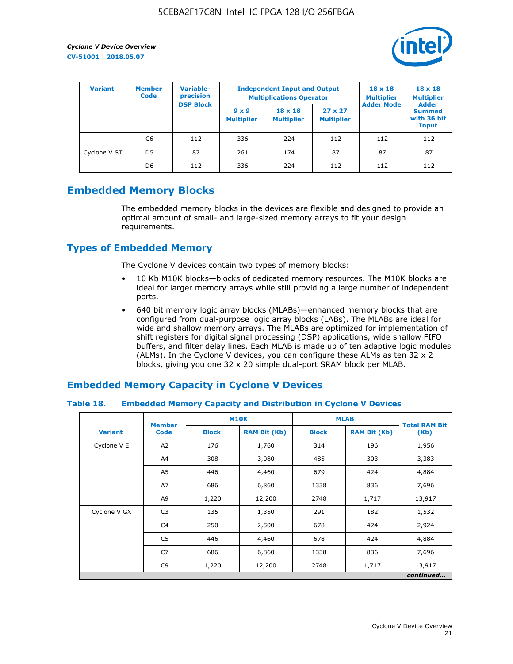

| <b>Variant</b> | <b>Member</b><br><b>Code</b> | <b>Variable-</b><br>precision |                                                       | <b>Independent Input and Output</b><br><b>Multiplications Operator</b> | $18 \times 18$<br><b>Multiplier</b> | $18 \times 18$<br><b>Multiplier</b><br><b>Adder</b> |                                       |
|----------------|------------------------------|-------------------------------|-------------------------------------------------------|------------------------------------------------------------------------|-------------------------------------|-----------------------------------------------------|---------------------------------------|
|                |                              |                               | <b>DSP Block</b><br>$9 \times 9$<br><b>Multiplier</b> | $18 \times 18$<br><b>Multiplier</b>                                    | $27 \times 27$<br><b>Multiplier</b> | <b>Adder Mode</b>                                   | <b>Summed</b><br>with 36 bit<br>Input |
|                | C6                           | 112                           | 336                                                   | 224                                                                    | 112                                 | 112                                                 | 112                                   |
| Cyclone V ST   | D <sub>5</sub>               | 87                            | 261                                                   | 174                                                                    | 87                                  | 87                                                  | 87                                    |
|                | D <sub>6</sub>               | 112                           | 336                                                   | 224                                                                    | 112                                 | 112                                                 | 112                                   |

# **Embedded Memory Blocks**

The embedded memory blocks in the devices are flexible and designed to provide an optimal amount of small- and large-sized memory arrays to fit your design requirements.

# **Types of Embedded Memory**

The Cyclone V devices contain two types of memory blocks:

- 10 Kb M10K blocks—blocks of dedicated memory resources. The M10K blocks are ideal for larger memory arrays while still providing a large number of independent ports.
- 640 bit memory logic array blocks (MLABs)—enhanced memory blocks that are configured from dual-purpose logic array blocks (LABs). The MLABs are ideal for wide and shallow memory arrays. The MLABs are optimized for implementation of shift registers for digital signal processing (DSP) applications, wide shallow FIFO buffers, and filter delay lines. Each MLAB is made up of ten adaptive logic modules (ALMs). In the Cyclone V devices, you can configure these ALMs as ten 32 x 2 blocks, giving you one 32 x 20 simple dual-port SRAM block per MLAB.

# **Embedded Memory Capacity in Cyclone V Devices**

## **Table 18. Embedded Memory Capacity and Distribution in Cyclone V Devices**

|                | <b>Member</b>  | <b>M10K</b>  |                     | <b>MLAB</b>  | <b>Total RAM Bit</b> |           |
|----------------|----------------|--------------|---------------------|--------------|----------------------|-----------|
| <b>Variant</b> | <b>Code</b>    | <b>Block</b> | <b>RAM Bit (Kb)</b> | <b>Block</b> | <b>RAM Bit (Kb)</b>  | (Kb)      |
| Cyclone V E    | A2             | 176          | 1,760               | 314          | 196                  | 1,956     |
|                | A4             | 308          | 3,080               | 485          | 303                  | 3,383     |
|                | A5             | 446          | 4,460               | 679          | 424                  | 4,884     |
|                | A7             | 686          | 6,860               | 1338         | 836                  | 7,696     |
|                | A9             | 1,220        | 12,200              | 2748         | 1,717                | 13,917    |
| Cyclone V GX   | C <sub>3</sub> | 135          | 1,350               | 291          | 182                  | 1,532     |
|                | C4             | 250          | 2,500               | 678          | 424                  | 2,924     |
|                | C <sub>5</sub> | 446          | 4,460               | 678          | 424                  | 4,884     |
|                | C7             | 686          | 6,860               | 1338         | 836                  | 7,696     |
|                | C <sub>9</sub> | 1,220        | 12,200              | 2748         | 1,717                | 13,917    |
|                |                |              |                     |              |                      | continued |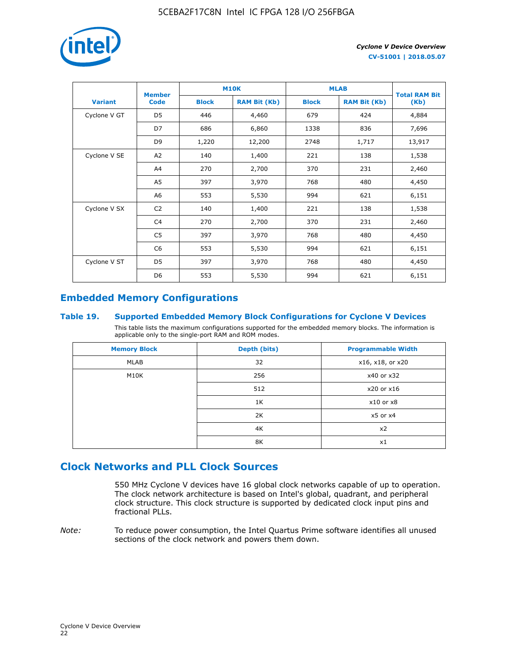

|                | <b>Member</b>  | <b>M10K</b>  |                     | <b>MLAB</b>  | <b>Total RAM Bit</b> |        |
|----------------|----------------|--------------|---------------------|--------------|----------------------|--------|
| <b>Variant</b> | <b>Code</b>    | <b>Block</b> | <b>RAM Bit (Kb)</b> | <b>Block</b> | <b>RAM Bit (Kb)</b>  | (Kb)   |
| Cyclone V GT   | D <sub>5</sub> | 446          | 4,460               | 679          | 424                  | 4,884  |
|                | D7             | 686          | 6,860               | 1338         | 836                  | 7,696  |
|                | D <sub>9</sub> | 1,220        | 12,200              | 2748         | 1,717                | 13,917 |
| Cyclone V SE   | A <sub>2</sub> | 140          | 1,400               | 221          | 138                  | 1,538  |
|                | A4             | 270          | 2,700               | 370          | 231                  | 2,460  |
|                | A5             | 397          | 3,970               | 768          | 480                  | 4,450  |
|                | A <sub>6</sub> | 553          | 5,530               | 994          | 621                  | 6,151  |
| Cyclone V SX   | C <sub>2</sub> | 140          | 1,400               | 221          | 138                  | 1,538  |
|                | C <sub>4</sub> | 270          | 2,700               | 370          | 231                  | 2,460  |
|                | C <sub>5</sub> | 397          | 3,970               | 768          | 480                  | 4,450  |
|                | C <sub>6</sub> | 553          | 5,530               | 994          | 621                  | 6,151  |
| Cyclone V ST   | D <sub>5</sub> | 397          | 3,970               | 768          | 480                  | 4,450  |
|                | D <sub>6</sub> | 553          | 5,530               | 994          | 621                  | 6,151  |

# **Embedded Memory Configurations**

## **Table 19. Supported Embedded Memory Block Configurations for Cyclone V Devices**

This table lists the maximum configurations supported for the embedded memory blocks. The information is applicable only to the single-port RAM and ROM modes.

| <b>Memory Block</b> | Depth (bits) | <b>Programmable Width</b> |
|---------------------|--------------|---------------------------|
| MLAB                | 32           | x16, x18, or x20          |
| M10K                | 256          | x40 or x32                |
|                     | 512          | x20 or x16                |
|                     | 1K           | $x10$ or $x8$             |
|                     | 2K           | $x5$ or $x4$              |
|                     | 4K           | x2                        |
|                     | 8K           | x1                        |

# **Clock Networks and PLL Clock Sources**

550 MHz Cyclone V devices have 16 global clock networks capable of up to operation. The clock network architecture is based on Intel's global, quadrant, and peripheral clock structure. This clock structure is supported by dedicated clock input pins and fractional PLLs.

*Note:* To reduce power consumption, the Intel Quartus Prime software identifies all unused sections of the clock network and powers them down.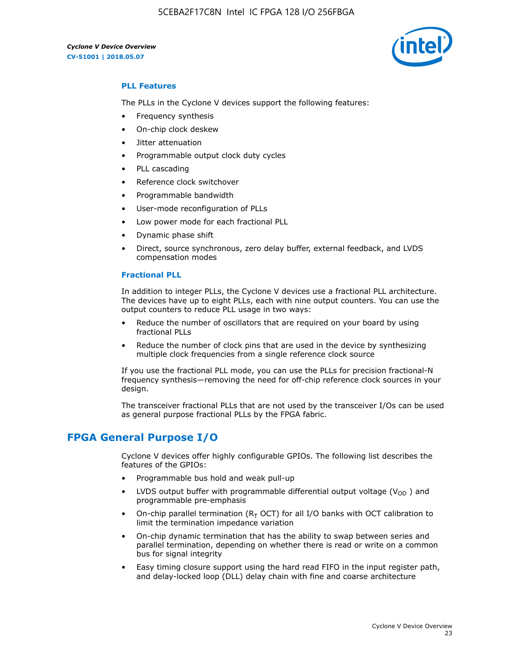5CEBA2F17C8N Intel IC FPGA 128 I/O 256FBGA

*Cyclone V Device Overview* **CV-51001 | 2018.05.07**



# **PLL Features**

The PLLs in the Cyclone V devices support the following features:

- Frequency synthesis
- On-chip clock deskew
- Jitter attenuation
- Programmable output clock duty cycles
- PLL cascading
- Reference clock switchover
- Programmable bandwidth
- User-mode reconfiguration of PLLs
- Low power mode for each fractional PLL
- Dynamic phase shift
- Direct, source synchronous, zero delay buffer, external feedback, and LVDS compensation modes

#### **Fractional PLL**

In addition to integer PLLs, the Cyclone V devices use a fractional PLL architecture. The devices have up to eight PLLs, each with nine output counters. You can use the output counters to reduce PLL usage in two ways:

- Reduce the number of oscillators that are required on your board by using fractional PLLs
- Reduce the number of clock pins that are used in the device by synthesizing multiple clock frequencies from a single reference clock source

If you use the fractional PLL mode, you can use the PLLs for precision fractional-N frequency synthesis—removing the need for off-chip reference clock sources in your design.

The transceiver fractional PLLs that are not used by the transceiver I/Os can be used as general purpose fractional PLLs by the FPGA fabric.

# **FPGA General Purpose I/O**

Cyclone V devices offer highly configurable GPIOs. The following list describes the features of the GPIOs:

- Programmable bus hold and weak pull-up
- LVDS output buffer with programmable differential output voltage ( $V_{OD}$ ) and programmable pre-emphasis
- On-chip parallel termination ( $R<sub>T</sub>$  OCT) for all I/O banks with OCT calibration to limit the termination impedance variation
- On-chip dynamic termination that has the ability to swap between series and parallel termination, depending on whether there is read or write on a common bus for signal integrity
- Easy timing closure support using the hard read FIFO in the input register path, and delay-locked loop (DLL) delay chain with fine and coarse architecture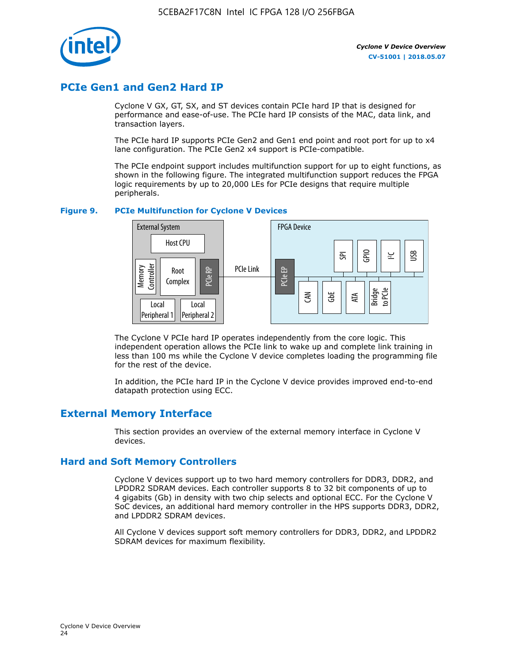

# **PCIe Gen1 and Gen2 Hard IP**

Cyclone V GX, GT, SX, and ST devices contain PCIe hard IP that is designed for performance and ease-of-use. The PCIe hard IP consists of the MAC, data link, and transaction layers.

The PCIe hard IP supports PCIe Gen2 and Gen1 end point and root port for up to x4 lane configuration. The PCIe Gen2 x4 support is PCIe-compatible.

The PCIe endpoint support includes multifunction support for up to eight functions, as shown in the following figure. The integrated multifunction support reduces the FPGA logic requirements by up to 20,000 LEs for PCIe designs that require multiple peripherals.

## **Figure 9. PCIe Multifunction for Cyclone V Devices**



The Cyclone V PCIe hard IP operates independently from the core logic. This independent operation allows the PCIe link to wake up and complete link training in less than 100 ms while the Cyclone V device completes loading the programming file for the rest of the device.

In addition, the PCIe hard IP in the Cyclone V device provides improved end-to-end datapath protection using ECC.

# **External Memory Interface**

This section provides an overview of the external memory interface in Cyclone V devices.

# **Hard and Soft Memory Controllers**

Cyclone V devices support up to two hard memory controllers for DDR3, DDR2, and LPDDR2 SDRAM devices. Each controller supports 8 to 32 bit components of up to 4 gigabits (Gb) in density with two chip selects and optional ECC. For the Cyclone V SoC devices, an additional hard memory controller in the HPS supports DDR3, DDR2, and LPDDR2 SDRAM devices.

All Cyclone V devices support soft memory controllers for DDR3, DDR2, and LPDDR2 SDRAM devices for maximum flexibility.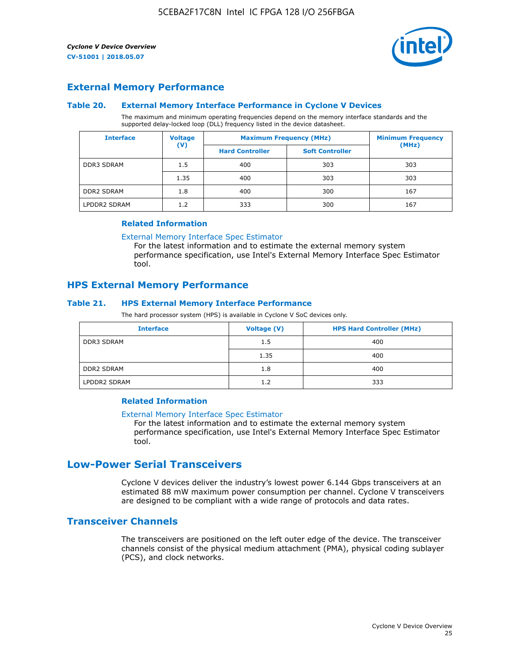

# **External Memory Performance**

#### **Table 20. External Memory Interface Performance in Cyclone V Devices**

The maximum and minimum operating frequencies depend on the memory interface standards and the supported delay-locked loop (DLL) frequency listed in the device datasheet.

| <b>Voltage</b><br><b>Interface</b> |                | <b>Maximum Frequency (MHz)</b> | <b>Minimum Frequency</b> |       |
|------------------------------------|----------------|--------------------------------|--------------------------|-------|
|                                    | $(\mathsf{V})$ | <b>Hard Controller</b>         | <b>Soft Controller</b>   | (MHz) |
| <b>DDR3 SDRAM</b>                  | 1.5            | 400                            | 303                      | 303   |
|                                    | 1.35           | 400                            | 303                      | 303   |
| <b>DDR2 SDRAM</b>                  | 1.8            | 400                            | 300                      | 167   |
| LPDDR2 SDRAM                       | 1.2            | 333                            | 300                      | 167   |

#### **Related Information**

[External Memory Interface Spec Estimator](https://www.altera.com/solutions/technology/external-memory/spec-estimator.html)

For the latest information and to estimate the external memory system performance specification, use Intel's External Memory Interface Spec Estimator tool.

# **HPS External Memory Performance**

# **Table 21. HPS External Memory Interface Performance**

The hard processor system (HPS) is available in Cyclone V SoC devices only.

| <b>Interface</b>  | Voltage (V) | <b>HPS Hard Controller (MHz)</b> |
|-------------------|-------------|----------------------------------|
| <b>DDR3 SDRAM</b> | 1.5         | 400                              |
|                   | 1.35        | 400                              |
| <b>DDR2 SDRAM</b> | 1.8         | 400                              |
| LPDDR2 SDRAM      | 1.2         | 333                              |

# **Related Information**

#### [External Memory Interface Spec Estimator](https://www.altera.com/solutions/technology/external-memory/spec-estimator.html)

For the latest information and to estimate the external memory system performance specification, use Intel's External Memory Interface Spec Estimator tool.

# **Low-Power Serial Transceivers**

Cyclone V devices deliver the industry's lowest power 6.144 Gbps transceivers at an estimated 88 mW maximum power consumption per channel. Cyclone V transceivers are designed to be compliant with a wide range of protocols and data rates.

# **Transceiver Channels**

The transceivers are positioned on the left outer edge of the device. The transceiver channels consist of the physical medium attachment (PMA), physical coding sublayer (PCS), and clock networks.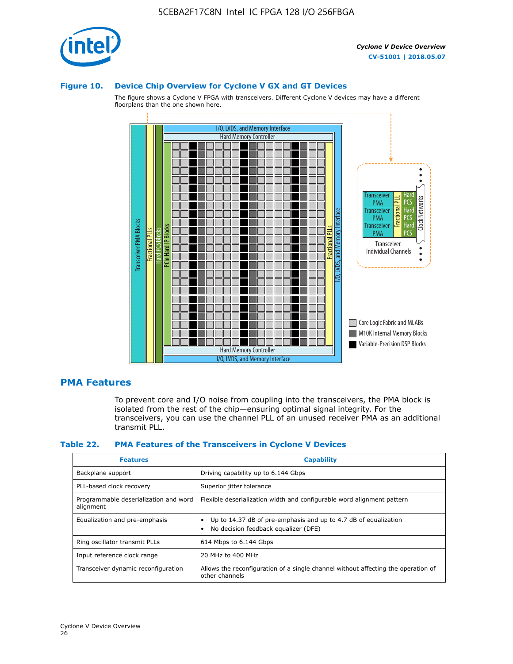

#### **Figure 10. Device Chip Overview for Cyclone V GX and GT Devices**

The figure shows a Cyclone V FPGA with transceivers. Different Cyclone V devices may have a different floorplans than the one shown here.



# **PMA Features**

To prevent core and I/O noise from coupling into the transceivers, the PMA block is isolated from the rest of the chip—ensuring optimal signal integrity. For the transceivers, you can use the channel PLL of an unused receiver PMA as an additional transmit PLL.

#### **Table 22. PMA Features of the Transceivers in Cyclone V Devices**

| <b>Features</b>                                    | <b>Capability</b>                                                                                       |
|----------------------------------------------------|---------------------------------------------------------------------------------------------------------|
| Backplane support                                  | Driving capability up to 6.144 Gbps                                                                     |
| PLL-based clock recovery                           | Superior jitter tolerance                                                                               |
| Programmable deserialization and word<br>alignment | Flexible deserialization width and configurable word alignment pattern                                  |
| Equalization and pre-emphasis                      | Up to 14.37 dB of pre-emphasis and up to 4.7 dB of equalization<br>No decision feedback equalizer (DFE) |
| Ring oscillator transmit PLLs                      | 614 Mbps to 6.144 Gbps                                                                                  |
| Input reference clock range                        | 20 MHz to 400 MHz                                                                                       |
| Transceiver dynamic reconfiguration                | Allows the reconfiguration of a single channel without affecting the operation of<br>other channels     |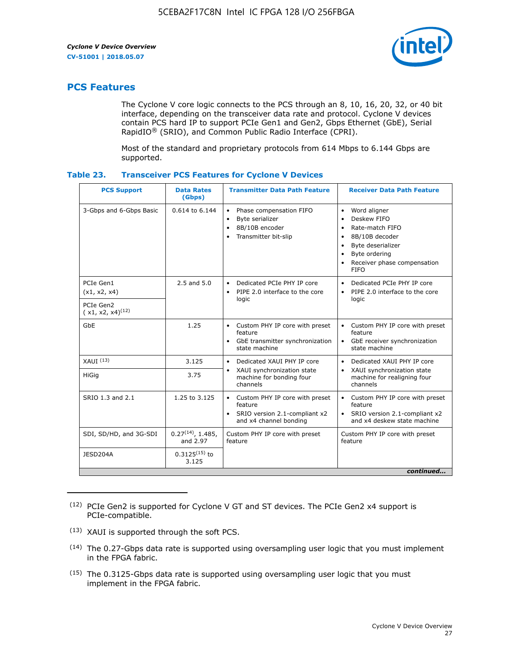

# **PCS Features**

The Cyclone V core logic connects to the PCS through an 8, 10, 16, 20, 32, or 40 bit interface, depending on the transceiver data rate and protocol. Cyclone V devices contain PCS hard IP to support PCIe Gen1 and Gen2, Gbps Ethernet (GbE), Serial RapidIO® (SRIO), and Common Public Radio Interface (CPRI).

Most of the standard and proprietary protocols from 614 Mbps to 6.144 Gbps are supported.

| Table 23. |  | <b>Transceiver PCS Features for Cyclone V Devices</b> |
|-----------|--|-------------------------------------------------------|
|           |  |                                                       |

| <b>PCS Support</b>                 | <b>Data Rates</b><br>(Gbps)        | <b>Transmitter Data Path Feature</b>                                                                         | <b>Receiver Data Path Feature</b>                                                                                                                                                                                                  |  |  |
|------------------------------------|------------------------------------|--------------------------------------------------------------------------------------------------------------|------------------------------------------------------------------------------------------------------------------------------------------------------------------------------------------------------------------------------------|--|--|
| 3-Gbps and 6-Gbps Basic            | 0.614 to 6.144                     | • Phase compensation FIFO<br>Byte serializer<br>8B/10B encoder<br>Transmitter bit-slip                       | Word aligner<br>$\bullet$<br>Deskew FIFO<br>$\bullet$<br>Rate-match FIFO<br>$\bullet$<br>8B/10B decoder<br>$\bullet$<br>Byte deserializer<br>$\bullet$<br>Byte ordering<br>$\bullet$<br>Receiver phase compensation<br><b>FIFO</b> |  |  |
| PCIe Gen1<br>(x1, x2, x4)          | $2.5$ and $5.0$                    | Dedicated PCIe PHY IP core<br>PIPE 2.0 interface to the core<br>$\bullet$<br>logic                           | Dedicated PCIe PHY IP core<br>$\bullet$<br>PIPE 2.0 interface to the core<br>$\bullet$<br>logic                                                                                                                                    |  |  |
| PCIe Gen2<br>$(x1, x2, x4)^{(12)}$ |                                    |                                                                                                              |                                                                                                                                                                                                                                    |  |  |
| GbE                                | 1.25                               | • Custom PHY IP core with preset<br>feature<br>GbE transmitter synchronization<br>$\bullet$<br>state machine | • Custom PHY IP core with preset<br>feature<br>GbE receiver synchronization<br>state machine                                                                                                                                       |  |  |
| $XAUI$ $(13)$                      | 3.125                              | Dedicated XAUI PHY IP core<br>$\bullet$                                                                      | Dedicated XAUI PHY IP core<br>$\bullet$                                                                                                                                                                                            |  |  |
| HiGig                              | 3.75                               | XAUI synchronization state<br>$\bullet$<br>machine for bonding four<br>channels                              | XAUI synchronization state<br>$\bullet$<br>machine for realigning four<br>channels                                                                                                                                                 |  |  |
| SRIO 1.3 and 2.1                   | 1.25 to 3.125                      | • Custom PHY IP core with preset<br>feature<br>• SRIO version 2.1-compliant x2<br>and x4 channel bonding     | • Custom PHY IP core with preset<br>feature<br>• SRIO version 2.1-compliant x2<br>and x4 deskew state machine                                                                                                                      |  |  |
| SDI, SD/HD, and 3G-SDI             | $0.27^{(14)}$ , 1.485,<br>and 2.97 | Custom PHY IP core with preset<br>feature                                                                    | Custom PHY IP core with preset<br>feature                                                                                                                                                                                          |  |  |
| JESD204A                           | $0.3125^{(15)}$ to<br>3.125        |                                                                                                              |                                                                                                                                                                                                                                    |  |  |
| continued                          |                                    |                                                                                                              |                                                                                                                                                                                                                                    |  |  |

<sup>(12)</sup> PCIe Gen2 is supported for Cyclone V GT and ST devices. The PCIe Gen2 x4 support is PCIe-compatible.

<sup>(13)</sup> XAUI is supported through the soft PCS.

<sup>(14)</sup> The 0.27-Gbps data rate is supported using oversampling user logic that you must implement in the FPGA fabric.

<sup>(15)</sup> The 0.3125-Gbps data rate is supported using oversampling user logic that you must implement in the FPGA fabric.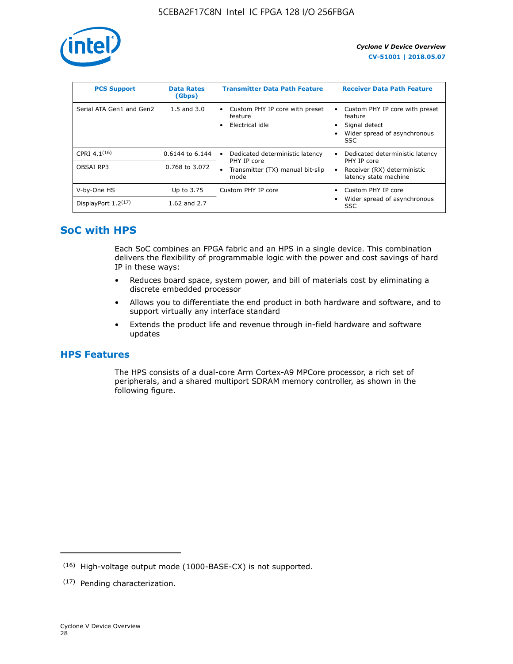

| <b>PCS Support</b>       | <b>Data Rates</b><br>(Gbps) | <b>Transmitter Data Path Feature</b>                              | <b>Receiver Data Path Feature</b>                                                                        |
|--------------------------|-----------------------------|-------------------------------------------------------------------|----------------------------------------------------------------------------------------------------------|
| Serial ATA Gen1 and Gen2 | $1.5$ and $3.0$             | Custom PHY IP core with preset<br>٠<br>feature<br>Electrical idle | Custom PHY IP core with preset<br>feature<br>Signal detect<br>Wider spread of asynchronous<br><b>SSC</b> |
| CPRI 4.1 $(16)$          | $0.6144$ to 6.144           | Dedicated deterministic latency<br>$\bullet$<br>PHY IP core       | Dedicated deterministic latency<br>PHY IP core                                                           |
| OBSAI RP3                | 0.768 to 3.072              | Transmitter (TX) manual bit-slip<br>mode                          | Receiver (RX) deterministic<br>latency state machine                                                     |
| V-by-One HS              | Up to 3.75                  | Custom PHY IP core                                                | Custom PHY IP core                                                                                       |
| DisplayPort $1.2^{(17)}$ | 1.62 and $2.7$              |                                                                   | Wider spread of asynchronous<br><b>SSC</b>                                                               |

# **SoC with HPS**

Each SoC combines an FPGA fabric and an HPS in a single device. This combination delivers the flexibility of programmable logic with the power and cost savings of hard IP in these ways:

- Reduces board space, system power, and bill of materials cost by eliminating a discrete embedded processor
- Allows you to differentiate the end product in both hardware and software, and to support virtually any interface standard
- Extends the product life and revenue through in-field hardware and software updates

# **HPS Features**

The HPS consists of a dual-core Arm Cortex-A9 MPCore processor, a rich set of peripherals, and a shared multiport SDRAM memory controller, as shown in the following figure.

<sup>(16)</sup> High-voltage output mode (1000-BASE-CX) is not supported.

<sup>(17)</sup> Pending characterization.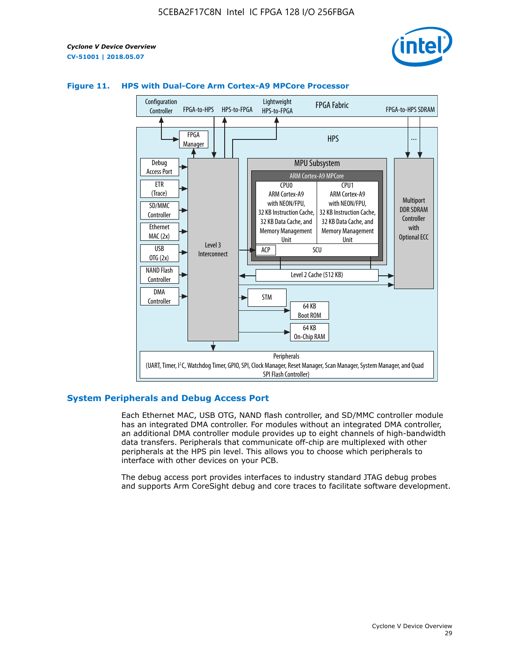



# **Figure 11. HPS with Dual-Core Arm Cortex-A9 MPCore Processor**

# **System Peripherals and Debug Access Port**

Each Ethernet MAC, USB OTG, NAND flash controller, and SD/MMC controller module has an integrated DMA controller. For modules without an integrated DMA controller, an additional DMA controller module provides up to eight channels of high-bandwidth data transfers. Peripherals that communicate off-chip are multiplexed with other peripherals at the HPS pin level. This allows you to choose which peripherals to interface with other devices on your PCB.

The debug access port provides interfaces to industry standard JTAG debug probes and supports Arm CoreSight debug and core traces to facilitate software development.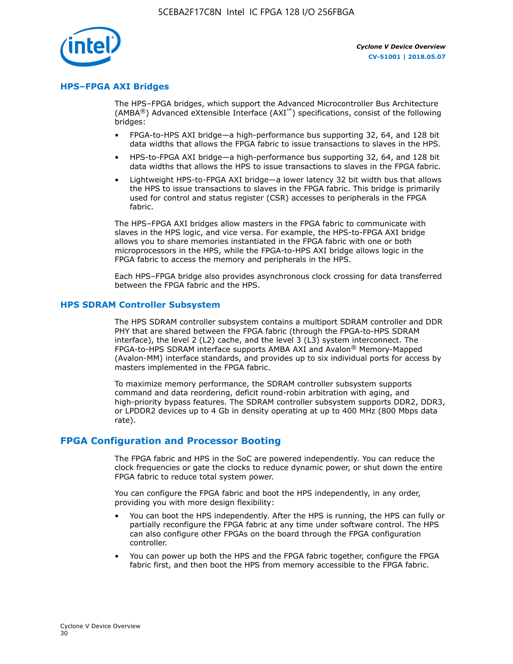

# **HPS–FPGA AXI Bridges**

The HPS–FPGA bridges, which support the Advanced Microcontroller Bus Architecture (AMBA<sup>®</sup>) Advanced eXtensible Interface (AXI<sup>™</sup>) specifications, consist of the following bridges:

- FPGA-to-HPS AXI bridge—a high-performance bus supporting 32, 64, and 128 bit data widths that allows the FPGA fabric to issue transactions to slaves in the HPS.
- HPS-to-FPGA AXI bridge—a high-performance bus supporting 32, 64, and 128 bit data widths that allows the HPS to issue transactions to slaves in the FPGA fabric.
- Lightweight HPS-to-FPGA AXI bridge—a lower latency 32 bit width bus that allows the HPS to issue transactions to slaves in the FPGA fabric. This bridge is primarily used for control and status register (CSR) accesses to peripherals in the FPGA fabric.

The HPS–FPGA AXI bridges allow masters in the FPGA fabric to communicate with slaves in the HPS logic, and vice versa. For example, the HPS-to-FPGA AXI bridge allows you to share memories instantiated in the FPGA fabric with one or both microprocessors in the HPS, while the FPGA-to-HPS AXI bridge allows logic in the FPGA fabric to access the memory and peripherals in the HPS.

Each HPS–FPGA bridge also provides asynchronous clock crossing for data transferred between the FPGA fabric and the HPS.

#### **HPS SDRAM Controller Subsystem**

The HPS SDRAM controller subsystem contains a multiport SDRAM controller and DDR PHY that are shared between the FPGA fabric (through the FPGA-to-HPS SDRAM interface), the level 2 (L2) cache, and the level 3 (L3) system interconnect. The FPGA-to-HPS SDRAM interface supports AMBA AXI and Avalon® Memory-Mapped (Avalon-MM) interface standards, and provides up to six individual ports for access by masters implemented in the FPGA fabric.

To maximize memory performance, the SDRAM controller subsystem supports command and data reordering, deficit round-robin arbitration with aging, and high-priority bypass features. The SDRAM controller subsystem supports DDR2, DDR3, or LPDDR2 devices up to 4 Gb in density operating at up to 400 MHz (800 Mbps data rate).

## **FPGA Configuration and Processor Booting**

The FPGA fabric and HPS in the SoC are powered independently. You can reduce the clock frequencies or gate the clocks to reduce dynamic power, or shut down the entire FPGA fabric to reduce total system power.

You can configure the FPGA fabric and boot the HPS independently, in any order, providing you with more design flexibility:

- You can boot the HPS independently. After the HPS is running, the HPS can fully or partially reconfigure the FPGA fabric at any time under software control. The HPS can also configure other FPGAs on the board through the FPGA configuration controller.
- You can power up both the HPS and the FPGA fabric together, configure the FPGA fabric first, and then boot the HPS from memory accessible to the FPGA fabric.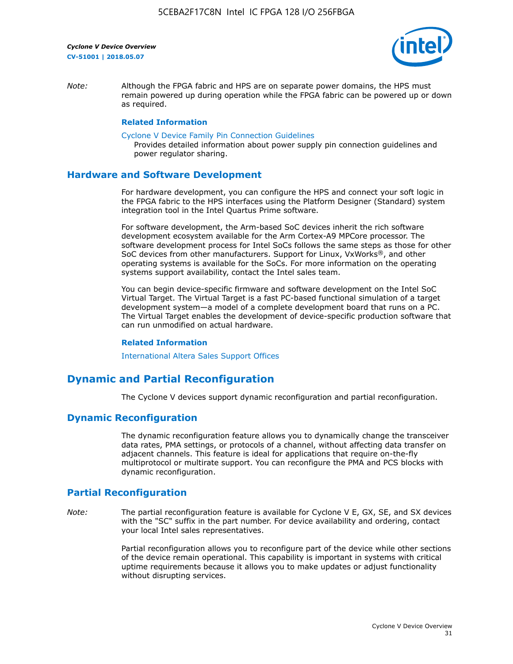

*Note:* Although the FPGA fabric and HPS are on separate power domains, the HPS must remain powered up during operation while the FPGA fabric can be powered up or down as required.

#### **Related Information**

[Cyclone V Device Family Pin Connection Guidelines](https://www.altera.com/content/dam/altera-www/global/en_US/pdfs/literature/dp/cyclone-v/pcg-01014.pdf)

Provides detailed information about power supply pin connection guidelines and power regulator sharing.

# **Hardware and Software Development**

For hardware development, you can configure the HPS and connect your soft logic in the FPGA fabric to the HPS interfaces using the Platform Designer (Standard) system integration tool in the Intel Quartus Prime software.

For software development, the Arm-based SoC devices inherit the rich software development ecosystem available for the Arm Cortex-A9 MPCore processor. The software development process for Intel SoCs follows the same steps as those for other SoC devices from other manufacturers. Support for Linux, VxWorks®, and other operating systems is available for the SoCs. For more information on the operating systems support availability, contact the Intel sales team.

You can begin device-specific firmware and software development on the Intel SoC Virtual Target. The Virtual Target is a fast PC-based functional simulation of a target development system—a model of a complete development board that runs on a PC. The Virtual Target enables the development of device-specific production software that can run unmodified on actual hardware.

#### **Related Information**

[International Altera Sales Support Offices](https://www.altera.com/about/contact/contact/international-altera-sales-offices.html)

# **Dynamic and Partial Reconfiguration**

The Cyclone V devices support dynamic reconfiguration and partial reconfiguration.

# **Dynamic Reconfiguration**

The dynamic reconfiguration feature allows you to dynamically change the transceiver data rates, PMA settings, or protocols of a channel, without affecting data transfer on adjacent channels. This feature is ideal for applications that require on-the-fly multiprotocol or multirate support. You can reconfigure the PMA and PCS blocks with dynamic reconfiguration.

# **Partial Reconfiguration**

*Note:* The partial reconfiguration feature is available for Cyclone V E, GX, SE, and SX devices with the "SC" suffix in the part number. For device availability and ordering, contact your local Intel sales representatives.

> Partial reconfiguration allows you to reconfigure part of the device while other sections of the device remain operational. This capability is important in systems with critical uptime requirements because it allows you to make updates or adjust functionality without disrupting services.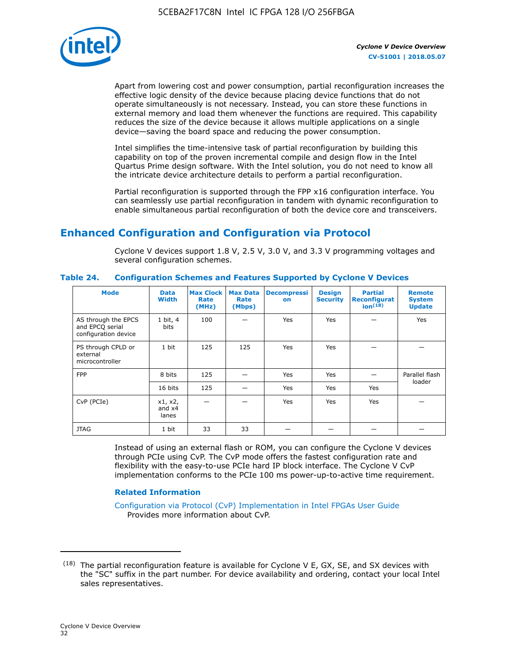

Apart from lowering cost and power consumption, partial reconfiguration increases the effective logic density of the device because placing device functions that do not operate simultaneously is not necessary. Instead, you can store these functions in external memory and load them whenever the functions are required. This capability reduces the size of the device because it allows multiple applications on a single device—saving the board space and reducing the power consumption.

Intel simplifies the time-intensive task of partial reconfiguration by building this capability on top of the proven incremental compile and design flow in the Intel Quartus Prime design software. With the Intel solution, you do not need to know all the intricate device architecture details to perform a partial reconfiguration.

Partial reconfiguration is supported through the FPP x16 configuration interface. You can seamlessly use partial reconfiguration in tandem with dynamic reconfiguration to enable simultaneous partial reconfiguration of both the device core and transceivers.

# **Enhanced Configuration and Configuration via Protocol**

Cyclone V devices support 1.8 V, 2.5 V, 3.0 V, and 3.3 V programming voltages and several configuration schemes.

| <b>Mode</b>                                                    | <b>Data</b><br>Width         | Max Clock  <br>Rate<br>(MHz) | <b>Max Data</b><br>Rate<br>(Mbps) | <b>Decompressi</b><br>on | <b>Design</b><br><b>Security</b> | <b>Partial</b><br>Reconfigurat<br>ion <sup>(18)</sup> | <b>Remote</b><br><b>System</b><br><b>Update</b> |
|----------------------------------------------------------------|------------------------------|------------------------------|-----------------------------------|--------------------------|----------------------------------|-------------------------------------------------------|-------------------------------------------------|
| AS through the EPCS<br>and EPCQ serial<br>configuration device | 1 bit, 4<br>bits             | 100                          |                                   | Yes                      | <b>Yes</b>                       |                                                       | Yes                                             |
| PS through CPLD or<br>external<br>microcontroller              | 1 bit                        | 125                          | 125                               | Yes                      | Yes                              |                                                       |                                                 |
| <b>FPP</b>                                                     | 8 bits                       | 125                          |                                   | Yes                      | <b>Yes</b>                       |                                                       | Parallel flash                                  |
|                                                                | 16 bits<br>125<br>Yes        | <b>Yes</b>                   | Yes                               | loader                   |                                  |                                                       |                                                 |
| CvP (PCIe)                                                     | x1, x2,<br>and $x4$<br>lanes |                              |                                   | Yes                      | <b>Yes</b>                       | Yes                                                   |                                                 |
| <b>JTAG</b>                                                    | 1 bit                        | 33                           | 33                                |                          |                                  |                                                       |                                                 |

**Table 24. Configuration Schemes and Features Supported by Cyclone V Devices**

Instead of using an external flash or ROM, you can configure the Cyclone V devices through PCIe using CvP. The CvP mode offers the fastest configuration rate and flexibility with the easy-to-use PCIe hard IP block interface. The Cyclone V CvP implementation conforms to the PCIe 100 ms power-up-to-active time requirement.

## **Related Information**

[Configuration via Protocol \(CvP\) Implementation in Intel FPGAs User Guide](https://www.altera.com/documentation/nik1412546950394.html#nik1412546833714) Provides more information about CvP.

 $(18)$  The partial reconfiguration feature is available for Cyclone V E, GX, SE, and SX devices with the "SC" suffix in the part number. For device availability and ordering, contact your local Intel sales representatives.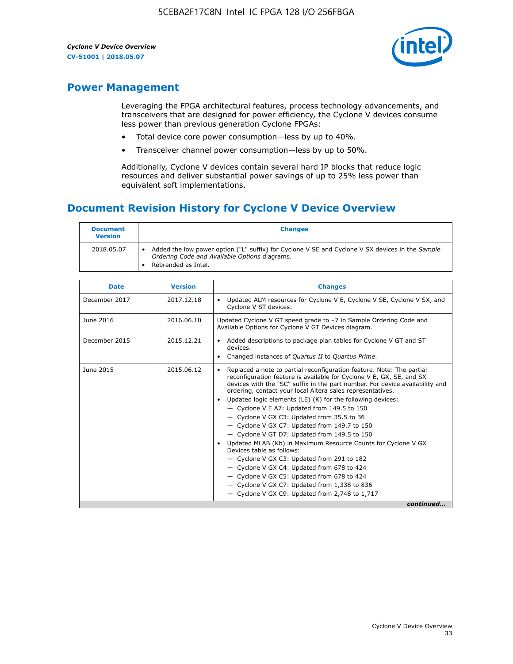

# **Power Management**

Leveraging the FPGA architectural features, process technology advancements, and transceivers that are designed for power efficiency, the Cyclone V devices consume less power than previous generation Cyclone FPGAs:

- Total device core power consumption—less by up to 40%.
- Transceiver channel power consumption—less by up to 50%.

Additionally, Cyclone V devices contain several hard IP blocks that reduce logic resources and deliver substantial power savings of up to 25% less power than equivalent soft implementations.

# **Document Revision History for Cyclone V Device Overview**

| <b>Document</b><br><b>Version</b> | <b>Changes</b>                                                                                                                                                          |
|-----------------------------------|-------------------------------------------------------------------------------------------------------------------------------------------------------------------------|
| 2018.05.07                        | Added the low power option ("L" suffix) for Cyclone V SE and Cyclone V SX devices in the Sample<br>Ordering Code and Available Options diagrams.<br>Rebranded as Intel. |

| <b>Date</b>   | <b>Version</b> | <b>Changes</b>                                                                                                                                                                                                                                                                                                                                                                                                                                                                                                                                                                                                                                                                                                                                                                                                                                                                                                  |
|---------------|----------------|-----------------------------------------------------------------------------------------------------------------------------------------------------------------------------------------------------------------------------------------------------------------------------------------------------------------------------------------------------------------------------------------------------------------------------------------------------------------------------------------------------------------------------------------------------------------------------------------------------------------------------------------------------------------------------------------------------------------------------------------------------------------------------------------------------------------------------------------------------------------------------------------------------------------|
| December 2017 | 2017.12.18     | Updated ALM resources for Cyclone V E, Cyclone V SE, Cyclone V SX, and<br>Cyclone V ST devices.                                                                                                                                                                                                                                                                                                                                                                                                                                                                                                                                                                                                                                                                                                                                                                                                                 |
| June 2016     | 2016.06.10     | Updated Cyclone V GT speed grade to -7 in Sample Ordering Code and<br>Available Options for Cyclone V GT Devices diagram.                                                                                                                                                                                                                                                                                                                                                                                                                                                                                                                                                                                                                                                                                                                                                                                       |
| December 2015 | 2015.12.21     | Added descriptions to package plan tables for Cyclone V GT and ST<br>devices.<br>Changed instances of Quartus II to Quartus Prime.                                                                                                                                                                                                                                                                                                                                                                                                                                                                                                                                                                                                                                                                                                                                                                              |
| June 2015     | 2015.06.12     | Replaced a note to partial reconfiguration feature. Note: The partial<br>reconfiguration feature is available for Cyclone V E, GX, SE, and SX<br>devices with the "SC" suffix in the part number. For device availability and<br>ordering, contact your local Altera sales representatives.<br>Updated logic elements (LE) (K) for the following devices:<br>$\bullet$<br>- Cyclone V E A7: Updated from 149.5 to 150<br>- Cyclone V GX C3: Updated from 35.5 to 36<br>- Cyclone V GX C7: Updated from 149.7 to 150<br>- Cyclone V GT D7: Updated from 149.5 to 150<br>Updated MLAB (Kb) in Maximum Resource Counts for Cyclone V GX<br>Devices table as follows:<br>- Cyclone V GX C3: Updated from 291 to 182<br>- Cyclone V GX C4: Updated from 678 to 424<br>- Cyclone V GX C5: Updated from 678 to 424<br>- Cyclone V GX C7: Updated from 1,338 to 836<br>$-$ Cyclone V GX C9: Updated from 2,748 to 1,717 |
|               |                | continued                                                                                                                                                                                                                                                                                                                                                                                                                                                                                                                                                                                                                                                                                                                                                                                                                                                                                                       |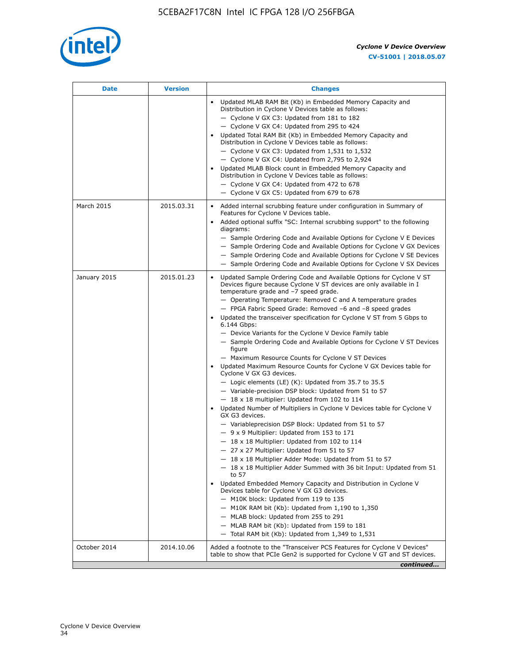

| <b>Date</b>  | <b>Version</b> | <b>Changes</b>                                                                                                                                                                                                                                                                                                                                                                                                                                                                                                                                                                                                                                                                                                                                                                                                                                                                                                                                                                                                                                                                                                                                                                                                                                                                                                                                                                                                                                                                                                                                                                                                                                                                                                |
|--------------|----------------|---------------------------------------------------------------------------------------------------------------------------------------------------------------------------------------------------------------------------------------------------------------------------------------------------------------------------------------------------------------------------------------------------------------------------------------------------------------------------------------------------------------------------------------------------------------------------------------------------------------------------------------------------------------------------------------------------------------------------------------------------------------------------------------------------------------------------------------------------------------------------------------------------------------------------------------------------------------------------------------------------------------------------------------------------------------------------------------------------------------------------------------------------------------------------------------------------------------------------------------------------------------------------------------------------------------------------------------------------------------------------------------------------------------------------------------------------------------------------------------------------------------------------------------------------------------------------------------------------------------------------------------------------------------------------------------------------------------|
|              |                | Updated MLAB RAM Bit (Kb) in Embedded Memory Capacity and<br>Distribution in Cyclone V Devices table as follows:<br>- Cyclone V GX C3: Updated from 181 to 182<br>- Cyclone V GX C4: Updated from 295 to 424<br>Updated Total RAM Bit (Kb) in Embedded Memory Capacity and<br>Distribution in Cyclone V Devices table as follows:<br>- Cyclone V GX C3: Updated from $1,531$ to $1,532$<br>- Cyclone V GX C4: Updated from 2,795 to 2,924<br>Updated MLAB Block count in Embedded Memory Capacity and<br>Distribution in Cyclone V Devices table as follows:<br>- Cyclone V GX C4: Updated from 472 to 678<br>- Cyclone V GX C5: Updated from 679 to 678                                                                                                                                                                                                                                                                                                                                                                                                                                                                                                                                                                                                                                                                                                                                                                                                                                                                                                                                                                                                                                                      |
| March 2015   | 2015.03.31     | Added internal scrubbing feature under configuration in Summary of<br>$\bullet$<br>Features for Cyclone V Devices table.<br>Added optional suffix "SC: Internal scrubbing support" to the following<br>diagrams:<br>- Sample Ordering Code and Available Options for Cyclone V E Devices<br>- Sample Ordering Code and Available Options for Cyclone V GX Devices<br>- Sample Ordering Code and Available Options for Cyclone V SE Devices<br>- Sample Ordering Code and Available Options for Cyclone V SX Devices                                                                                                                                                                                                                                                                                                                                                                                                                                                                                                                                                                                                                                                                                                                                                                                                                                                                                                                                                                                                                                                                                                                                                                                           |
| January 2015 | 2015.01.23     | Updated Sample Ordering Code and Available Options for Cyclone V ST<br>Devices figure because Cyclone V ST devices are only available in I<br>temperature grade and -7 speed grade.<br>- Operating Temperature: Removed C and A temperature grades<br>- FPGA Fabric Speed Grade: Removed -6 and -8 speed grades<br>Updated the transceiver specification for Cyclone V ST from 5 Gbps to<br>6.144 Gbps:<br>- Device Variants for the Cyclone V Device Family table<br>- Sample Ordering Code and Available Options for Cyclone V ST Devices<br>figure<br>- Maximum Resource Counts for Cyclone V ST Devices<br>Updated Maximum Resource Counts for Cyclone V GX Devices table for<br>Cyclone V GX G3 devices.<br>$-$ Logic elements (LE) (K): Updated from 35.7 to 35.5<br>- Variable-precision DSP block: Updated from 51 to 57<br>$-18 \times 18$ multiplier: Updated from 102 to 114<br>Updated Number of Multipliers in Cyclone V Devices table for Cyclone V<br>GX G3 devices.<br>- Variableprecision DSP Block: Updated from 51 to 57<br>$-9x9$ Multiplier: Updated from 153 to 171<br>$-18 \times 18$ Multiplier: Updated from 102 to 114<br>- 27 x 27 Multiplier: Updated from 51 to 57<br>- 18 x 18 Multiplier Adder Mode: Updated from 51 to 57<br>$-18 \times 18$ Multiplier Adder Summed with 36 bit Input: Updated from 51<br>to 57<br>Updated Embedded Memory Capacity and Distribution in Cyclone V<br>Devices table for Cyclone V GX G3 devices.<br>- M10K block: Updated from 119 to 135<br>- M10K RAM bit (Kb): Updated from 1,190 to 1,350<br>- MLAB block: Updated from 255 to 291<br>- MLAB RAM bit (Kb): Updated from 159 to 181<br>$-$ Total RAM bit (Kb): Updated from 1,349 to 1,531 |
| October 2014 | 2014.10.06     | Added a footnote to the "Transceiver PCS Features for Cyclone V Devices"<br>table to show that PCIe Gen2 is supported for Cyclone V GT and ST devices.                                                                                                                                                                                                                                                                                                                                                                                                                                                                                                                                                                                                                                                                                                                                                                                                                                                                                                                                                                                                                                                                                                                                                                                                                                                                                                                                                                                                                                                                                                                                                        |
|              |                | continued                                                                                                                                                                                                                                                                                                                                                                                                                                                                                                                                                                                                                                                                                                                                                                                                                                                                                                                                                                                                                                                                                                                                                                                                                                                                                                                                                                                                                                                                                                                                                                                                                                                                                                     |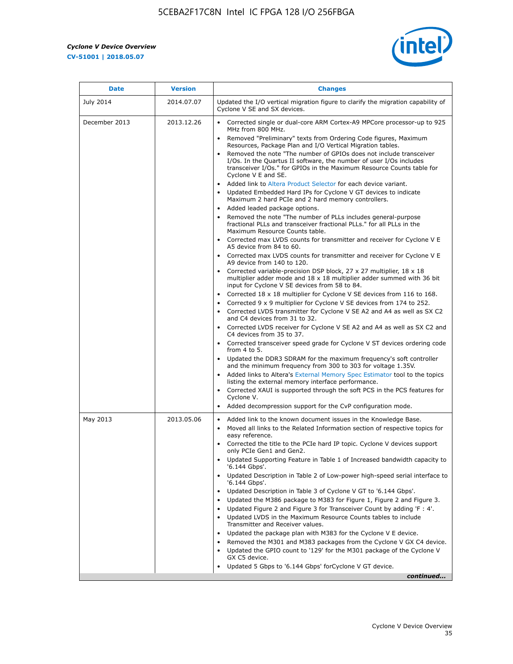r



| <b>Date</b>      | <b>Version</b> | <b>Changes</b>                                                                                                                                                                                                                                                                                                                                                                                                                                                                                                                                                                                                                                                                                                                                                                                                                                                                                                                                                                                                                                                                                                                                                                                                                                                                                                                                                                                                                                      |
|------------------|----------------|-----------------------------------------------------------------------------------------------------------------------------------------------------------------------------------------------------------------------------------------------------------------------------------------------------------------------------------------------------------------------------------------------------------------------------------------------------------------------------------------------------------------------------------------------------------------------------------------------------------------------------------------------------------------------------------------------------------------------------------------------------------------------------------------------------------------------------------------------------------------------------------------------------------------------------------------------------------------------------------------------------------------------------------------------------------------------------------------------------------------------------------------------------------------------------------------------------------------------------------------------------------------------------------------------------------------------------------------------------------------------------------------------------------------------------------------------------|
| <b>July 2014</b> | 2014.07.07     | Updated the I/O vertical migration figure to clarify the migration capability of<br>Cyclone V SE and SX devices.                                                                                                                                                                                                                                                                                                                                                                                                                                                                                                                                                                                                                                                                                                                                                                                                                                                                                                                                                                                                                                                                                                                                                                                                                                                                                                                                    |
| December 2013    | 2013.12.26     | • Corrected single or dual-core ARM Cortex-A9 MPCore processor-up to 925<br>MHz from 800 MHz.<br>Removed "Preliminary" texts from Ordering Code figures, Maximum<br>$\bullet$<br>Resources, Package Plan and I/O Vertical Migration tables.<br>Removed the note "The number of GPIOs does not include transceiver<br>I/Os. In the Quartus II software, the number of user I/Os includes<br>transceiver I/Os." for GPIOs in the Maximum Resource Counts table for<br>Cyclone V E and SE.<br>Added link to Altera Product Selector for each device variant.<br>• Updated Embedded Hard IPs for Cyclone V GT devices to indicate<br>Maximum 2 hard PCIe and 2 hard memory controllers.<br>• Added leaded package options.<br>Removed the note "The number of PLLs includes general-purpose                                                                                                                                                                                                                                                                                                                                                                                                                                                                                                                                                                                                                                                             |
|                  |                | fractional PLLs and transceiver fractional PLLs." for all PLLs in the<br>Maximum Resource Counts table.<br>• Corrected max LVDS counts for transmitter and receiver for Cyclone V E<br>A5 device from 84 to 60.<br>• Corrected max LVDS counts for transmitter and receiver for Cyclone V E<br>A9 device from 140 to 120.<br>Corrected variable-precision DSP block, 27 x 27 multiplier, 18 x 18<br>multiplier adder mode and $18 \times 18$ multiplier adder summed with 36 bit<br>input for Cyclone V SE devices from 58 to 84.<br>Corrected 18 x 18 multiplier for Cyclone V SE devices from 116 to 168.<br>Corrected 9 x 9 multiplier for Cyclone V SE devices from 174 to 252.<br>Corrected LVDS transmitter for Cyclone V SE A2 and A4 as well as SX C2<br>and C4 devices from 31 to 32.<br>• Corrected LVDS receiver for Cyclone V SE A2 and A4 as well as SX C2 and<br>C4 devices from 35 to 37.<br>• Corrected transceiver speed grade for Cyclone V ST devices ordering code<br>from $4$ to $5$ .<br>• Updated the DDR3 SDRAM for the maximum frequency's soft controller<br>and the minimum frequency from 300 to 303 for voltage 1.35V.<br>• Added links to Altera's External Memory Spec Estimator tool to the topics<br>listing the external memory interface performance.<br>• Corrected XAUI is supported through the soft PCS in the PCS features for<br>Cyclone V.<br>Added decompression support for the CvP configuration mode. |
| May 2013         | 2013.05.06     | Added link to the known document issues in the Knowledge Base.<br>$\bullet$<br>Moved all links to the Related Information section of respective topics for<br>$\bullet$<br>easy reference.<br>• Corrected the title to the PCIe hard IP topic. Cyclone V devices support<br>only PCIe Gen1 and Gen2.<br>Updated Supporting Feature in Table 1 of Increased bandwidth capacity to<br>$\bullet$<br>'6.144 Gbps'.<br>Updated Description in Table 2 of Low-power high-speed serial interface to<br>'6.144 Gbps'.<br>Updated Description in Table 3 of Cyclone V GT to '6.144 Gbps'.<br>Updated the M386 package to M383 for Figure 1, Figure 2 and Figure 3.<br>$\bullet$<br>Updated Figure 2 and Figure 3 for Transceiver Count by adding 'F : 4'.<br>$\bullet$<br>Updated LVDS in the Maximum Resource Counts tables to include<br>Transmitter and Receiver values.<br>Updated the package plan with M383 for the Cyclone V E device.<br>$\bullet$<br>Removed the M301 and M383 packages from the Cyclone V GX C4 device.<br>Updated the GPIO count to '129' for the M301 package of the Cyclone V<br>GX C5 device.<br>Updated 5 Gbps to '6.144 Gbps' for Cyclone V GT device.<br>continued                                                                                                                                                                                                                                                          |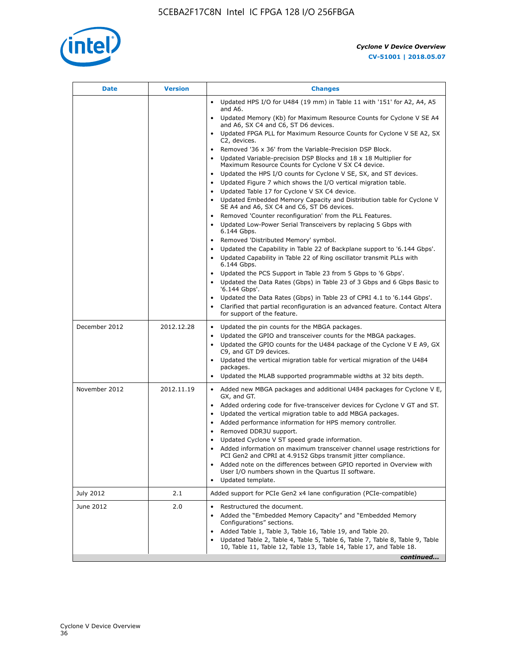

| Date          | <b>Version</b> | <b>Changes</b>                                                                                                                                      |
|---------------|----------------|-----------------------------------------------------------------------------------------------------------------------------------------------------|
|               |                | Updated HPS I/O for U484 (19 mm) in Table 11 with '151' for A2, A4, A5<br>$\bullet$<br>and A6.                                                      |
|               |                | Updated Memory (Kb) for Maximum Resource Counts for Cyclone V SE A4<br>and A6, SX C4 and C6, ST D6 devices.                                         |
|               |                | • Updated FPGA PLL for Maximum Resource Counts for Cyclone V SE A2, SX<br>C2, devices.                                                              |
|               |                | • Removed '36 x 36' from the Variable-Precision DSP Block.                                                                                          |
|               |                | Updated Variable-precision DSP Blocks and $18 \times 18$ Multiplier for<br>Maximum Resource Counts for Cyclone V SX C4 device.                      |
|               |                | • Updated the HPS I/O counts for Cyclone V SE, SX, and ST devices.                                                                                  |
|               |                | Updated Figure 7 which shows the I/O vertical migration table.<br>Updated Table 17 for Cyclone V SX C4 device.<br>$\bullet$                         |
|               |                | Updated Embedded Memory Capacity and Distribution table for Cyclone V<br>$\bullet$                                                                  |
|               |                | SE A4 and A6, SX C4 and C6, ST D6 devices.                                                                                                          |
|               |                | • Removed 'Counter reconfiguration' from the PLL Features.                                                                                          |
|               |                | Updated Low-Power Serial Transceivers by replacing 5 Gbps with<br>6.144 Gbps.                                                                       |
|               |                | Removed 'Distributed Memory' symbol.<br>$\bullet$                                                                                                   |
|               |                | Updated the Capability in Table 22 of Backplane support to '6.144 Gbps'.<br>• Updated Capability in Table 22 of Ring oscillator transmit PLLs with  |
|               |                | 6.144 Gbps.                                                                                                                                         |
|               |                | Updated the PCS Support in Table 23 from 5 Gbps to '6 Gbps'.                                                                                        |
|               |                | Updated the Data Rates (Gbps) in Table 23 of 3 Gbps and 6 Gbps Basic to<br>$\bullet$<br>'6.144 Gbps'.                                               |
|               |                | Updated the Data Rates (Gbps) in Table 23 of CPRI 4.1 to '6.144 Gbps'.                                                                              |
|               |                | Clarified that partial reconfiguration is an advanced feature. Contact Altera                                                                       |
|               |                | for support of the feature.                                                                                                                         |
| December 2012 | 2012.12.28     | Updated the pin counts for the MBGA packages.<br>$\bullet$                                                                                          |
|               |                | Updated the GPIO and transceiver counts for the MBGA packages.<br>٠<br>Updated the GPIO counts for the U484 package of the Cyclone V E A9, GX       |
|               |                | C9, and GT D9 devices.                                                                                                                              |
|               |                | • Updated the vertical migration table for vertical migration of the U484<br>packages.                                                              |
|               |                | Updated the MLAB supported programmable widths at 32 bits depth.                                                                                    |
| November 2012 | 2012.11.19     | • Added new MBGA packages and additional U484 packages for Cyclone V E,                                                                             |
|               |                | GX, and GT.                                                                                                                                         |
|               |                | • Added ordering code for five-transceiver devices for Cyclone V GT and ST.<br>Updated the vertical migration table to add MBGA packages.           |
|               |                | Added performance information for HPS memory controller.<br>$\bullet$                                                                               |
|               |                | Removed DDR3U support.<br>$\bullet$                                                                                                                 |
|               |                | Updated Cyclone V ST speed grade information.                                                                                                       |
|               |                | Added information on maximum transceiver channel usage restrictions for<br>PCI Gen2 and CPRI at 4.9152 Gbps transmit jitter compliance.             |
|               |                | Added note on the differences between GPIO reported in Overview with                                                                                |
|               |                | User I/O numbers shown in the Quartus II software.<br>Updated template.                                                                             |
|               |                |                                                                                                                                                     |
| July 2012     | 2.1            | Added support for PCIe Gen2 x4 lane configuration (PCIe-compatible)                                                                                 |
| June 2012     | 2.0            | Restructured the document.<br>٠                                                                                                                     |
|               |                | Added the "Embedded Memory Capacity" and "Embedded Memory<br>Configurations" sections.                                                              |
|               |                | Added Table 1, Table 3, Table 16, Table 19, and Table 20.                                                                                           |
|               |                | Updated Table 2, Table 4, Table 5, Table 6, Table 7, Table 8, Table 9, Table<br>10, Table 11, Table 12, Table 13, Table 14, Table 17, and Table 18. |
|               |                | continued                                                                                                                                           |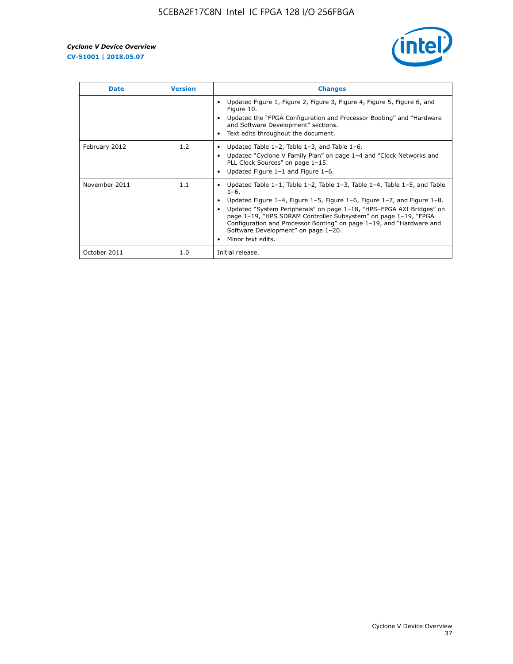

| <b>Date</b>   | <b>Version</b> | <b>Changes</b>                                                                                                                                                                                                                                                                                                                                                                                                                                                             |
|---------------|----------------|----------------------------------------------------------------------------------------------------------------------------------------------------------------------------------------------------------------------------------------------------------------------------------------------------------------------------------------------------------------------------------------------------------------------------------------------------------------------------|
|               |                | Updated Figure 1, Figure 2, Figure 3, Figure 4, Figure 5, Figure 6, and<br>Figure 10.<br>Updated the "FPGA Configuration and Processor Booting" and "Hardware<br>and Software Development" sections.<br>Text edits throughout the document.                                                                                                                                                                                                                                |
| February 2012 | 1.2            | Updated Table $1-2$ , Table $1-3$ , and Table $1-6$ .<br>Updated "Cyclone V Family Plan" on page 1-4 and "Clock Networks and<br>$\bullet$<br>PLL Clock Sources" on page 1-15.<br>Updated Figure 1-1 and Figure 1-6.                                                                                                                                                                                                                                                        |
| November 2011 | 1.1            | Updated Table $1-1$ , Table $1-2$ , Table $1-3$ , Table $1-4$ , Table $1-5$ , and Table<br>$1 - 6.$<br>Updated Figure 1-4, Figure 1-5, Figure 1-6, Figure 1-7, and Figure 1-8.<br>Updated "System Peripherals" on page 1-18, "HPS-FPGA AXI Bridges" on<br>page 1-19, "HPS SDRAM Controller Subsystem" on page 1-19, "FPGA<br>Configuration and Processor Booting" on page 1-19, and "Hardware and<br>Software Development" on page 1-20.<br>Minor text edits.<br>$\bullet$ |
| October 2011  | 1.0            | Initial release.                                                                                                                                                                                                                                                                                                                                                                                                                                                           |